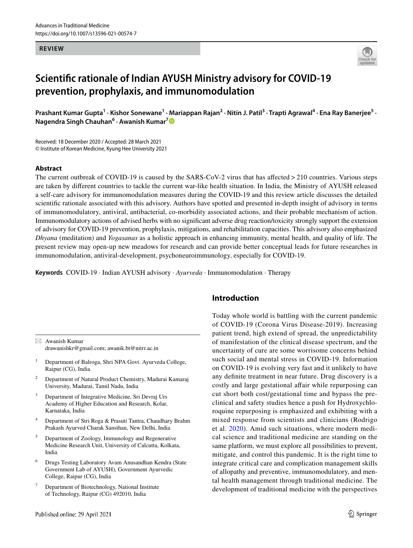#### **REVIEW**



# **Scientific rationale of Indian AYUSH Ministry advisory for COVID‑19 prevention, prophylaxis, and immunomodulation**

Prashant Kumar Gupta<sup>1</sup> · Kishor Sonewane<sup>1</sup> · Mariappan Rajan<sup>2</sup> · Nitin J. Patil<sup>3</sup> · Trapti Agrawal<sup>4</sup> · Ena Ray Banerjee<sup>5</sup> · **Nagendra Singh Chauhan<sup>6</sup> · Awanish Kumar[7](http://orcid.org/0000-0001-8735-479X)**

Received: 18 December 2020 / Accepted: 28 March 2021 © Institute of Korean Medicine, Kyung Hee University 2021

#### **Abstract**

The current outbreak of COVID-19 is caused by the SARS-CoV-2 virus that has affected  $>$  210 countries. Various steps are taken by different countries to tackle the current war-like health situation. In India, the Ministry of AYUSH released a self-care advisory for immunomodulation measures during the COVID-19 and this review article discusses the detailed scientific rationale associated with this advisory. Authors have spotted and presented in-depth insight of advisory in terms of immunomodulatory, antiviral, antibacterial, co-morbidity associated actions, and their probable mechanism of action. Immunomodulatory actions of advised herbs with no significant adverse drug reaction/toxicity strongly support the extension of advisory for COVID-19 prevention, prophylaxis, mitigations, and rehabilitation capacities. This advisory also emphasized *Dhyana* (meditation) and *Yogasanas* as a holistic approach in enhancing immunity, mental health, and quality of life. The present review may open-up new meadows for research and can provide better conceptual leads for future researches in immunomodulation, antiviral-development, psychoneuroimmunology, especially for COVID-19.

**Keywords** COVID-19 · Indian AYUSH advisory · *Ayurveda* · Immunomodulation · Therapy

 $\boxtimes$  Awanish Kumar drawanishkr@gmail.com; awanik.bt@nitrr.ac.in

- 1 Department of Balroga, Shri NPA Govt. Ayurveda College, Raipur (CG), India
- 2 Department of Natural Product Chemistry, Madurai Kamaraj University, Madurai, Tamil Nadu, India
- 3 Department of Integrative Medicine, Sri Devraj Urs Academy of Higher Education and Research, Kolar, Karnataka, India
- 4 Department of Stri Roga & Prasuti Tantra, Chaudhary Brahm Prakash Ayurved Charak Sansthan, New Delhi, India
- 5 Department of Zoology, Immunology and Regenerative Medicine Research Unit, University of Calcutta, Kolkata, India
- 6 Drugs Testing Laboratory Avam Anusandhan Kendra (State Government Lab of AYUSH), Government Ayurvedic College, Raipur (CG), India
- 7 Department of Biotechnology, National Institute of Technology, Raipur (CG) 492010, India

# **Introduction**

Today whole world is battling with the current pandemic of COVID-19 (Corona Virus Disease-2019). Increasing patient trend, high extend of spread, the unpredictability of manifestation of the clinical disease spectrum, and the uncertainty of cure are some worrisome concerns behind such social and mental stress in COVID-19. Information on COVID-19 is evolving very fast and it unlikely to have any definite treatment in near future. Drug discovery is a costly and large gestational affair while repurposing can cut short both cost/gestational time and bypass the preclinical and safety studies hence a push for Hydroxychloroquine repurposing is emphasized and exhibiting with a mixed response from scientists and clinicians (Rodrigo et al. [2020](#page-24-0)). Amid such situations, where modern medical science and traditional medicine are standing on the same platform, we must explore all possibilities to prevent, mitigate, and control this pandemic. It is the right time to integrate critical care and complication management skills of allopathy and preventive, immunomodulatory, and mental health management through traditional medicine. The development of traditional medicine with the perspectives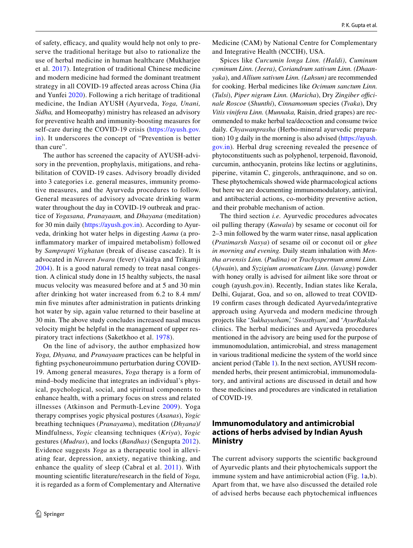of safety, efficacy, and quality would help not only to preserve the traditional heritage but also to rationalize the use of herbal medicine in human healthcare (Mukharjee et al. [2017](#page-23-0)). Integration of traditional Chinese medicine and modern medicine had formed the dominant treatment strategy in all COVID-19 affected areas across China (Jia and Yunfei [2020\)](#page-23-1). Following a rich heritage of traditional medicine, the Indian AYUSH (Ayurveda, *Yoga, Unani, Sidha,* and Homeopathy) ministry has released an advisory for preventive health and immunity-boosting measures for self-care during the COVID-19 crisis (https://ayush.gov. [in](https://ayush.gov.in)). It underscores the concept of "Prevention is better than cure".

The author has screened the capacity of AYUSH-advisory in the prevention, prophylaxis, mitigations, and rehabilitation of COVID-19 cases. Advisory broadly divided into 3 categories i.e. general measures, immunity promotive measures, and the Ayurveda procedures to follow. General measures of advisory advocate drinking warm water throughout the day in COVID-19 outbreak and practice of *Yogasana, Pranayaam,* and *Dhayana* (meditation) for 30 min daily (https://ayush.gov.in). According to Ayurveda, drinking hot water helps in digesting *Aama* (a proinflammatory marker of impaired metabolism) followed by *Samprapti Vighatan* (break of disease cascade). It is advocated in *Naveen Jwara* (fever) (Vaidya and Trikamji [2004\)](#page-24-1). It is a good natural remedy to treat nasal congestion. A clinical study done in 15 healthy subjects, the nasal mucus velocity was measured before and at 5 and 30 min after drinking hot water increased from 6.2 to 8.4 mm/ min five minutes after administration in patients drinking hot water by sip, again value returned to their baseline at 30 min. The above study concludes increased nasal mucus velocity might be helpful in the management of upper respiratory tract infections (Saketkhoo et al. [1978](#page-24-2)).

On the line of advisory, the author emphasized how *Yoga, Dhyana,* and *Pranayaam* practices can be helpful in fighting psychoneuroimmuno perturbation during COVID-19. Among general measures, *Yoga* therapy is a form of mind–body medicine that integrates an individual's physical, psychological, social, and spiritual components to enhance health, with a primary focus on stress and related illnesses (Atkinson and Permuth-Levine [2009](#page-22-0)). Yoga therapy comprises yogic physical postures (*Asanas*), *Yogic* breathing techniques (*Pranayama*), meditation (*Dhyana*)/ Mindfulness, *Yogic* cleansing techniques (*Kriya*), *Yogic* gestures (*Mudras*), and locks (*Bandhas)* (Sengupta [2012](#page-24-3)). Evidence suggests *Yoga* as a therapeutic tool in alleviating fear, depression, anxiety, negative thinking, and enhance the quality of sleep (Cabral et al. [2011](#page-22-1)). With mounting scientific literature/research in the field of *Yoga,* it is regarded as a form of Complementary and Alternative Medicine (CAM) by National Centre for Complementary and Integrative Health (NCCIH), USA.

Spices like *Curcumin longa Linn. (Haldi)*, *Cuminum cyminum Linn. (Jeera)*, *Coriandrum sativum Linn. (Dhaanyaka*), and *Allium sativum Linn. (Lahsun)* are recommended for cooking. Herbal medicines like *Ocimum sanctum Linn.* (*Tulsi*), *Piper nigrum Linn.* (*Maricha*), Dry *Zingiber officinale Roscoe* (*Shunthi*), *Cinnamomum* species (*Tvaka*), Dry *Vitis vinifera Linn.* (*Munnaka,* Raisin, dried grapes) are recommended to make herbal tea/decoction and consume twice daily. *Chyawanprasha* (Herbo-mineral ayurvedic preparation) 10 g daily in the morning is also advised (https://ayush. [gov. in\)](https://ayush.gov.in)*.* Herbal drug screening revealed the presence of phytoconstituents such as polyphenol, terpenoid, flavonoid, curcumin, anthocyanin, proteins like lectins or agglutinins, piperine, vitamin C, gingerols, anthraquinone, and so on. These phytochemicals showed wide pharmacological actions but here we are documenting immunomodulatory, antiviral, and antibacterial actions, co-morbidity preventive action, and their probable mechanism of action.

The third section *i.e.* Ayurvedic procedures advocates oil pulling therapy (*Kawala*) by sesame or coconut oil for 2–3 min followed by the warm water rinse, nasal application (*Pratimarsh Nasya*) of sesame oil or coconut oil or *ghee in morning and evening.* Daily steam inhalation with *Mentha arvensis Linn.* (*Pudina)* or *Trachyspermum ammi Linn.* (*Ajwain*), and *Syzigium aromaticum Linn.* (*lavang*) powder with honey orally is advised for ailment like sore throat or cough (ayush.gov.in). Recently, Indian states like Kerala, Delhi, Gujarat, Goa, and so on, allowed to treat COVID-19 confirm cases through dedicated Ayurveda/integrative approach using Ayurveda and modern medicine through projects like *ʻSukhayusham̕*, *ʻSwasthyam̕*, and *ʻAyurRaksha̕* clinics. The herbal medicines and Ayurveda procedures mentioned in the advisory are being used for the purpose of immunomodulation, antimicrobial, and stress management in various traditional medicine the system of the world since ancient period (Table [1\)](#page-2-0). In the next section, AYUSH recommended herbs, their present antimicrobial, immunomodulatory, and antiviral actions are discussed in detail and how these medicines and procedures are vindicated in retaliation of COVID-19.

# **Immunomodulatory and antimicrobial actions of herbs advised by Indian Ayush Ministry**

The current advisory supports the scientific background of Ayurvedic plants and their phytochemicals support the immune system and have antimicrobial action (Fig. [1a](#page-10-0),b). Apart from that, we have also discussed the detailed role of advised herbs because each phytochemical influences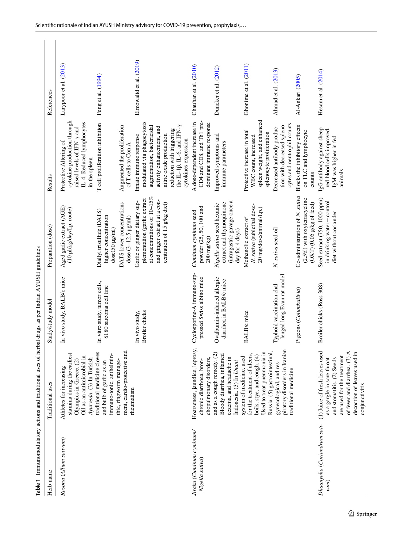<span id="page-2-0"></span>

|                                                                   |                                                                                                                                                                        | Table 1 Immunomodulatory actions and traditional uses of herbal drugs as per Indian AYUSH guidelines |                                                                                                                                                             |                                                                                                                                                                                                                                                                   |                         |
|-------------------------------------------------------------------|------------------------------------------------------------------------------------------------------------------------------------------------------------------------|------------------------------------------------------------------------------------------------------|-------------------------------------------------------------------------------------------------------------------------------------------------------------|-------------------------------------------------------------------------------------------------------------------------------------------------------------------------------------------------------------------------------------------------------------------|-------------------------|
| Herb name                                                         | Traditional uses                                                                                                                                                       | Study/study model                                                                                    | Preparation (dose)                                                                                                                                          | Results                                                                                                                                                                                                                                                           | References              |
| Rasona (Allium sativum)                                           | stamina during the earliest<br>Oil as an antimicrobial in<br>Ayurveda. (3) In Turkish<br>Olympics in Greece. (2)<br>Athletes for increasing                            | In vivo study, BALB/c mice                                                                           | Aged garlic extract (AGE)<br>(10 µJ/kg/day/I.p. route)                                                                                                      | cytokine production through<br>IL-4. Reduced lymphocytes<br>raised levels of IFN-y and<br>Protective Altering of<br>in the spleen                                                                                                                                 | Larypoor et al. (2013)  |
|                                                                   | ment, cardio-protective and<br>traditional medicine cloves<br>immuno-tonic, anthelmin-<br>thic, ringworm manage-<br>and bulb of garlic as an                           | In vitro study, tumor cells,<br>S180 sarcoma cell line                                               | DATS lower concentrations<br>Diallyl trisulfide (DATS)<br>higher concentration<br>dose $(3-12.5 \text{ }\mu\text{g/mL})$<br>$dose(50 \mu g/ml)$             | T cell proliferation inhibition<br>Augmented the proliferation<br>of T cells to Con A                                                                                                                                                                             | Feng et al. (1994)      |
|                                                                   | rheumatism                                                                                                                                                             | <b>Broiler</b> chicks<br>In vivo study,                                                              | at concentrations of 10-15%<br>plementation (garlic extract<br>and ginger extract at a con-<br>Garlic or ginger dietary sup-<br>centration of 15 g/kg diet) | modulated via phagocytosis<br>augmentation, bactericidal<br>the $\text{II}$ -1 $\beta$ , $\text{II}$ -6, and IFN- $\gamma$<br>activity enhancement, and<br>reduction with triggering<br>nitric oxide production<br>Innate immune response<br>cytokines expression | Elmowalid et al. (2019) |
| Jiraka (Cuminum cyminum/<br>Nigella sativa)                       | Hoarseness, jaundice, leprosy,<br>chopulmonary disorders,<br>chronic diarrhoea, bron-                                                                                  | Cyclosporine-A immune-sup-<br>pressed Swiss albino mice                                              | powder (25, 50, 100 and<br>Cuminum cyminum seed<br>$200$ mg/kg)                                                                                             | CD4 and CD8, and Th1 pre-<br>A dose-dependent increase in<br>dominant immune response                                                                                                                                                                             | Chauhan et al. (2010)   |
|                                                                   | and as a cough remedy. (2)<br>Bloody diarrhea, inflamed<br>eczema, and headache in<br>Indonesia. (3) In Unani                                                          | Ovalbumin-induced allergic<br>diarrhea in BALB/c mice                                                | (intragastric gavage once a<br>extract and thymoquinone<br>Nigella sativa seed hexanic<br>day for 4 days)                                                   | Improved symptoms and<br>immune parameters                                                                                                                                                                                                                        | Duncker et al. (2012)   |
|                                                                   | Used to treat pneumonia in<br>for the treatment of ulcers,<br>boils, stye, and cough. (4)<br>system of medicine, used                                                  | <b>BALB</b> /c mice                                                                                  | N. sativa (sublethal dose-<br>20 mg/dose/animal/I.p.)<br>Methanolic extract of                                                                              | spleen weight, and enhanced<br>Protective increase in total<br>splenocyte proliferation<br>WBC count, increased                                                                                                                                                   | Ghonime et al. (2011)   |
|                                                                   | piratory disorders in Iranian<br>Russia. (5) gastrointestinal,<br>gynecological, and res-<br>traditional medicine                                                      | lenged long Evan rat model<br>Typhoid vaccination chal-                                              | N. sativa seed oil                                                                                                                                          | cytes and neutrophil counts<br>tion with decreased spleno-<br>Decreased antibody produc-                                                                                                                                                                          | Ahmad et al. (2013)     |
|                                                                   |                                                                                                                                                                        | Pigeons (Columbalivia)                                                                               | Co-administration of N. sativa<br>$(2.5\%)$ with oxytetracycline<br>$\left( \text{OXT}\right)$ (0.05 g/kg of feed)                                          | Blocks the inhibitory effects<br>on TLC and lymphocyte<br>counts                                                                                                                                                                                                  | Al-Ankari (2005)        |
| Dhaanyaka (Coriandrum sati- (1) Juice of fresh leaves used<br>vum | decoction of leaves used in<br>of fever and diarrhea. (3) A<br>are used for the treatment<br>and stomatitis. (2) Seeds<br>as a gargle in sore throat<br>conjunctivitis | Broiler chicks (Ross 308)                                                                            | Seed extract (750, 1000 ppm)<br>in drinking water+control<br>diet without coriander                                                                         | IgG antibody against sheep<br>red blood cells improved,<br>IgM was higher in fed<br>animals                                                                                                                                                                       | Hesam et al. (2014)     |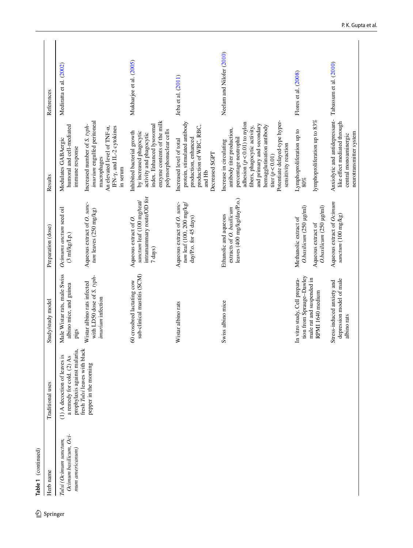| Mediratta et al. (2002)<br>Flores et al. (2008)<br>Jeba et al. (2011)<br>Anxiolytic and antidepressant-<br>lymphoproliferation up to 83%<br>enzyme contents of the milk<br>imurium engulfed peritoneal<br>Potentiate delayed-type hyper-<br>like effect mediated through<br>protein, stimulated antibody<br>adhesion $(p<0.01)$ to nylon<br>index. Enhanced lysosomal<br>and primary and secondary<br>Increased number of S. typh-<br>humoral and cell-mediated<br>hemagglutination antibody<br>production of WBC, RBC,<br>fibers, phagocytic activity,<br>An elevated level of TNF-a,<br>IFN- $\gamma$ , and IL-2 cytokines<br>antibody titer production,<br>Lymphoproliferation up to<br>polymorphonuclear cells<br>Inhibited bacterial growth<br>by increased phagocytic<br>neurotransmitter system<br>activity and phagocytic<br>central monoaminergic<br>percentage neutrophil<br>production, enhanced<br>Modulates GABAergic<br>Increased level of total<br>Increase in circulating<br>sensitivity reaction<br>immune response<br>Decreased SGPT<br>titer $(p<0.01)$<br>macrophages<br>in serum<br>and Hb<br>$80\%$<br>intramammary route/OD for<br>leaves (400 mg/kg/day/P.o.)<br>sanctum leaf (100 mg/teat/<br>Aqueous extract of Ocimum<br>Aqueous extract of O. sanc-<br>Aqueous extract of O. sanc-<br>tum leaf (100, 200 mg/kg/<br>O.basilicum (250 µg/ml)<br>O.basilicum (250 µg/ml)<br>extracts of O. basilicum<br>Ocinums anctum seed oil<br>tum leaves (250 mg/kg)<br>Ethanolic and aqueous<br>sanctum (100 mg/kg)<br>day/P.o. for 45 days)<br>Aqueous extract of O.<br>Methanolic extract of<br>Aqueous extract of<br>$(3 \text{ mJ/kg/Lp.})$<br>7 days)<br>Male Wistar rats, male Swiss<br>sub-clinical mastitis (SCM)<br>with LD50 dose of S. typh-<br>tion from Sprauge-Dawley<br>In vitro study, Cell prepara-<br>male rat and suspended in<br>depression model of male<br>60 crossbred lactating cow<br>Stress-induced anxiety and<br>Wistar albino rats infected<br>albino mice, and guinea<br>RPMI 1640 medium<br>imurium infection<br>Swiss albino mice<br>Wistar albino rats<br>albino rats<br>pigs<br>fresh Tulsi leaves with black<br>prophylaxis against malaria,<br>(1) A decoction of leaves is<br>a remedy for cold. (2) As<br>pepper in the morning<br>Ocimum basilicum, Oci-<br>Tulsi (Ocimum sanctum,<br>mum americanum | Table 1 (continued) | Traditional uses |                   |                    |         |                           |
|------------------------------------------------------------------------------------------------------------------------------------------------------------------------------------------------------------------------------------------------------------------------------------------------------------------------------------------------------------------------------------------------------------------------------------------------------------------------------------------------------------------------------------------------------------------------------------------------------------------------------------------------------------------------------------------------------------------------------------------------------------------------------------------------------------------------------------------------------------------------------------------------------------------------------------------------------------------------------------------------------------------------------------------------------------------------------------------------------------------------------------------------------------------------------------------------------------------------------------------------------------------------------------------------------------------------------------------------------------------------------------------------------------------------------------------------------------------------------------------------------------------------------------------------------------------------------------------------------------------------------------------------------------------------------------------------------------------------------------------------------------------------------------------------------------------------------------------------------------------------------------------------------------------------------------------------------------------------------------------------------------------------------------------------------------------------------------------------------------------------------------------------------------------------------------------------------------------------------------------------------------------------------------------------------------------------------------------------------------|---------------------|------------------|-------------------|--------------------|---------|---------------------------|
|                                                                                                                                                                                                                                                                                                                                                                                                                                                                                                                                                                                                                                                                                                                                                                                                                                                                                                                                                                                                                                                                                                                                                                                                                                                                                                                                                                                                                                                                                                                                                                                                                                                                                                                                                                                                                                                                                                                                                                                                                                                                                                                                                                                                                                                                                                                                                            | Herb name           |                  | Study/study model | Preparation (dose) | Results | References                |
|                                                                                                                                                                                                                                                                                                                                                                                                                                                                                                                                                                                                                                                                                                                                                                                                                                                                                                                                                                                                                                                                                                                                                                                                                                                                                                                                                                                                                                                                                                                                                                                                                                                                                                                                                                                                                                                                                                                                                                                                                                                                                                                                                                                                                                                                                                                                                            |                     |                  |                   |                    |         |                           |
|                                                                                                                                                                                                                                                                                                                                                                                                                                                                                                                                                                                                                                                                                                                                                                                                                                                                                                                                                                                                                                                                                                                                                                                                                                                                                                                                                                                                                                                                                                                                                                                                                                                                                                                                                                                                                                                                                                                                                                                                                                                                                                                                                                                                                                                                                                                                                            |                     |                  |                   |                    |         |                           |
|                                                                                                                                                                                                                                                                                                                                                                                                                                                                                                                                                                                                                                                                                                                                                                                                                                                                                                                                                                                                                                                                                                                                                                                                                                                                                                                                                                                                                                                                                                                                                                                                                                                                                                                                                                                                                                                                                                                                                                                                                                                                                                                                                                                                                                                                                                                                                            |                     |                  |                   |                    |         | Mukharjee et al. (2005)   |
|                                                                                                                                                                                                                                                                                                                                                                                                                                                                                                                                                                                                                                                                                                                                                                                                                                                                                                                                                                                                                                                                                                                                                                                                                                                                                                                                                                                                                                                                                                                                                                                                                                                                                                                                                                                                                                                                                                                                                                                                                                                                                                                                                                                                                                                                                                                                                            |                     |                  |                   |                    |         |                           |
|                                                                                                                                                                                                                                                                                                                                                                                                                                                                                                                                                                                                                                                                                                                                                                                                                                                                                                                                                                                                                                                                                                                                                                                                                                                                                                                                                                                                                                                                                                                                                                                                                                                                                                                                                                                                                                                                                                                                                                                                                                                                                                                                                                                                                                                                                                                                                            |                     |                  |                   |                    |         | Neelam and Nilofer (2010) |
|                                                                                                                                                                                                                                                                                                                                                                                                                                                                                                                                                                                                                                                                                                                                                                                                                                                                                                                                                                                                                                                                                                                                                                                                                                                                                                                                                                                                                                                                                                                                                                                                                                                                                                                                                                                                                                                                                                                                                                                                                                                                                                                                                                                                                                                                                                                                                            |                     |                  |                   |                    |         |                           |
|                                                                                                                                                                                                                                                                                                                                                                                                                                                                                                                                                                                                                                                                                                                                                                                                                                                                                                                                                                                                                                                                                                                                                                                                                                                                                                                                                                                                                                                                                                                                                                                                                                                                                                                                                                                                                                                                                                                                                                                                                                                                                                                                                                                                                                                                                                                                                            |                     |                  |                   |                    |         | Tabassum et al. (2010)    |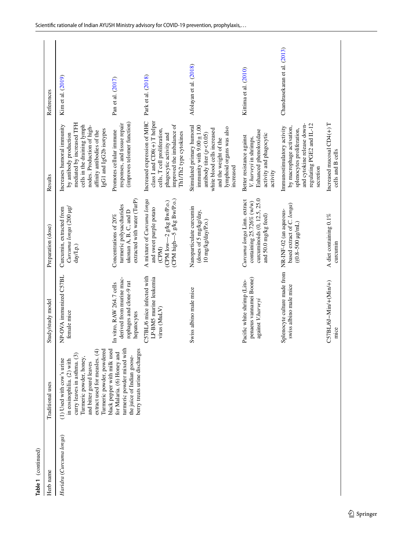| Table 1 (continued)     |                                                                                                                                                                                                          |                                                                                                  |                                                                                                                             |                                                                                                                                                                                                         |                              |
|-------------------------|----------------------------------------------------------------------------------------------------------------------------------------------------------------------------------------------------------|--------------------------------------------------------------------------------------------------|-----------------------------------------------------------------------------------------------------------------------------|---------------------------------------------------------------------------------------------------------------------------------------------------------------------------------------------------------|------------------------------|
| Herb name               | Traditional uses                                                                                                                                                                                         | Study/study model                                                                                | Preparation (dose)                                                                                                          | Results                                                                                                                                                                                                 | References                   |
| Haridra (Curcuna longa) | Turmeric powder, powdered<br>extract used for measles. (4)<br>curry leaves in asthma. (3)<br>Turmeric powder, honey<br>(1) Used with cow's urine<br>in eosinophilia. (2) with<br>and bitter gourd leaves | NP-OVA immunized C57BL<br>female mice                                                            | Curcuma longa (200 µg/<br>Curcumin, extracted from<br>day/Lp.)                                                              | mediated by increased TFH<br>cells in the draining lymph<br>Increases humoral immunity<br>nodes. Production of high-<br>IgG1 and IgG2b isotypes<br>affinity antibodies of the<br>by antibody production | Kim et al. (2019)            |
|                         | turmeric powder mixed with<br>berry treats urine discharges<br>black pepper with milk used<br>for Malaria. (6) Honey and<br>the juice of Indian goose-                                                   | derived from murine mac-<br>rophages and clone-9 rat<br>In vitro, RAW 264.7 cells<br>hepatocytes | extracted with water (TurP)<br>turmeric polysaccharides<br>ukonan A, B, C, and D<br>Concentrations of 20%                   | (improves telomer function)<br>responses, and tissue repair<br>Promotes cellular immune                                                                                                                 | Pan et al. (2017)            |
|                         |                                                                                                                                                                                                          | C57BL/6 mice infected with<br>LP-BMS murine leukemia<br>virus (MuLV)                             | $(CPM$ high $-5$ g/kg Bw/P.o.)<br>A mixture of Curcuma longa<br>$(CPM1ow-2 gkg BwP.o.)$<br>and sweet purple potato<br>(CPM) | Increased expression of MHC<br>class I and CD8(+) T helper<br>improved the imbalance of<br>cells, T cell proliferation,<br>Th1/Th2 type cytokines<br>phagocytic activity and                            | Park et al. (2018)           |
|                         |                                                                                                                                                                                                          | Swiss albino male mice                                                                           | Nanoparticulate curcumin<br>(doses of 5 mg/kg/day,<br>10 mg/kg/day/P.o.)                                                    | Stimulated primary humoral<br>immunity with $9.00 \pm 1.00$<br>lymphoid organs was also<br>white blood cells increased<br>antibody titer $(p < 0.05)$<br>and the weight of the<br>increased             | Afolayan et al. (2018)       |
|                         |                                                                                                                                                                                                          | penaeus vannamei Boone)<br>Pacific white shrimp (Lito-<br>against V.harveyi                      | curcuminoids (0, 12.5, 25.0<br>Curcuma longa Linn. extract<br>containing 25.726% (w/w)<br>and 50.0 mg/kg feed)              | Enhanced phenoloxidase<br>activity and phagocytic<br>Better resistance against<br>V. harveyi in shrimps.<br>activity                                                                                    | Kittima et al. (2010)        |
|                         |                                                                                                                                                                                                          | Splenocyte culture made from<br>swiss albino male mice                                           | based extract of C. longa)<br>NR-INF-02 (an aqueous-<br>$(0.8 - 500 \mu g/mL)$                                              | regulating PGE2 and IL-12<br>and cytokine release down-<br>by macrophage activation,<br>Immunostimulatory activity<br>splenocytes proliferation,<br>secretion                                           | Chandrasekaran et al. (2013) |
|                         |                                                                                                                                                                                                          | C57BL/6J-Min/+(Min/+)<br>mice                                                                    | A diet containing 0.1%<br>curcumin                                                                                          | Increased mucosal CD4(+)T<br>cells and B cells                                                                                                                                                          |                              |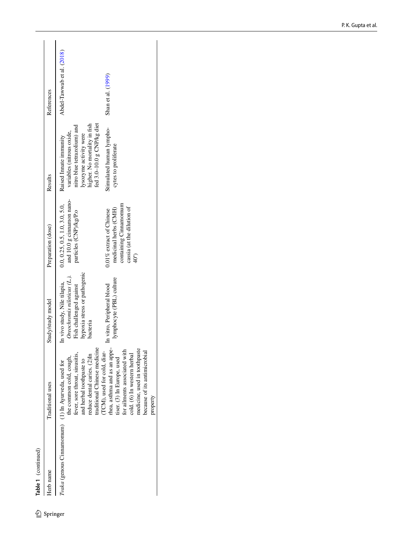Table 1 (continued)

 $\underline{\mathcal{D}}$  Springer

| Herb name                                             | Traditional uses                                                                                                                                                                        | Study/study model                                                                      | Preparation (dose)                                                                                               | Results                                                                              | References                 |
|-------------------------------------------------------|-----------------------------------------------------------------------------------------------------------------------------------------------------------------------------------------|----------------------------------------------------------------------------------------|------------------------------------------------------------------------------------------------------------------|--------------------------------------------------------------------------------------|----------------------------|
| Tvaka (genous Cinnamomum) $(1)$ In Ayurveda, used for | fever, sore throat, sinusitis,<br>the common cold, cough,                                                                                                                               | Oreochromis niloticus (L.).<br>In vivo study, Nile tilapia,<br>Fish challenged against | and 10.0 g cinnamon nano-<br>0.0, 0.25, 0.5, 1.0, 3.0, 5.0,<br>particles (CNP)/kg/P.o                            | nitro blue tetrazolium) and<br>variables (nitrous oxide,<br>Raised Innate immunity   | Abdel-Tawwab et al. (2018) |
|                                                       | traditional Chinese medicine<br>reduce dental caries. (2)In<br>and herbal toothpaste to                                                                                                 | hypoxia stress or pathogenic<br>bacteria                                               |                                                                                                                  | higher. No mortality in fish<br>fed 3.0-10.0 g CNP/kg diet<br>lysozyme activity were |                            |
|                                                       | TCM), used for cold, diar-<br>thea, asthma and as an appe-<br>for ailments associated with<br>medicine, used in toothpaste<br>cold. (6) In western herbal<br>tiser. (3) In Europe, used | lymphocyte (PBL) culture<br>In vitro, Peripheral blood                                 | containing Cinnamomum<br>cassia (at the dilution of<br>0.01% extract of Chinese<br>medicinal herbs (CMH)<br>40*) | Stimulated human lympho-<br>cytes to proliferate                                     | Shan et al. (1999)         |
|                                                       | because of its antimicrobial<br>property                                                                                                                                                |                                                                                        |                                                                                                                  |                                                                                      |                            |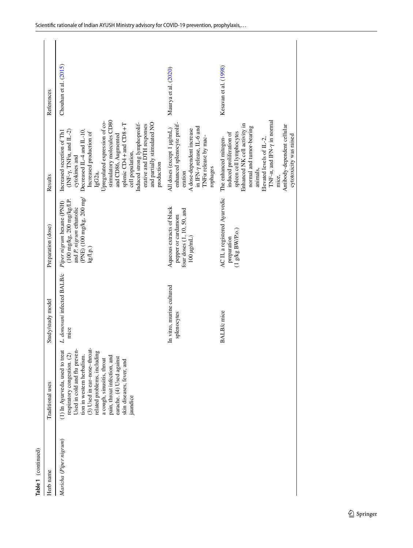| Table 1 (continued)    |                                                                                                                                                                                                                                                                                                                               |                                          |                                                                                                                                                                  |                                                                                                                                                                                                                                                                                                                                                                                                       |                       |
|------------------------|-------------------------------------------------------------------------------------------------------------------------------------------------------------------------------------------------------------------------------------------------------------------------------------------------------------------------------|------------------------------------------|------------------------------------------------------------------------------------------------------------------------------------------------------------------|-------------------------------------------------------------------------------------------------------------------------------------------------------------------------------------------------------------------------------------------------------------------------------------------------------------------------------------------------------------------------------------------------------|-----------------------|
| Herb name              | Traditional uses                                                                                                                                                                                                                                                                                                              | Study/study model                        | Preparation (dose)                                                                                                                                               | Results                                                                                                                                                                                                                                                                                                                                                                                               | References            |
| Maricha (Piper nigrum) | (3) Used in ear-nose-throat-<br>Used in cold and flu preven-<br>(1) In Ayurveda, used to treat<br>related problems, including<br>respiratory congestion. (2)<br>tion in western herbalism.<br>pain, throat infection, and<br>earache. (4) Used against<br>a cough, sinusitis, throat<br>skin diseases, fever, and<br>jaundice | L. donovani infected BALB/c<br>mice      | (PNE) $(100 \text{ mg/kg}, 200 \text{ mg/}$<br>$(100 \text{ mg/kg}, 200 \text{ mg/kg/I.P.})$<br>Piper nigrum hexane (PNH)<br>and P. nigrum ethanolic<br>kg/I.p.) | stimulatory molecules CD80<br>Upregulated expression of co-<br>Induced strong lymphoprolif-<br>and partially stimulated NO<br>splenic CD4 + and CD8 + T<br>erative and DTH responses<br>Decreased IL-4 and IL-10,<br>$(INF-\gamma, TNF\alpha, and IL-2)$<br>Increased secretion of Th1<br>Increased production of<br>and CD86, Augmented<br>cell population,<br>cytokines and<br>production<br>IgG2a, | Chouhan et al. (2015) |
|                        |                                                                                                                                                                                                                                                                                                                               | In vitro, murine cultured<br>splenocytes | Aqueous extracts of black<br>four doses (1, 10, 50, and<br>pepper or cardamom<br>$100 \mu g/mL$                                                                  | enhanced splenocyte prolif-<br>in IFN- $\gamma$ release, IL-6 and<br>All doses (except 1 µg/mL)<br>A dose-dependent increase<br>TNF <sub>a</sub> release by mac-<br>rophages<br>eration                                                                                                                                                                                                               | Maurya et al. (2020)  |
|                        |                                                                                                                                                                                                                                                                                                                               | <b>BALB</b> /c mice                      | AC II, a registered Ayurvedic<br>$(1 \ntriangleleft Kg$ BWP.o.)<br>preparation                                                                                   | TNF- $\alpha$ , and IFN- $\gamma$ in normal<br>Enhanced NK cell activity in<br>Antibody-dependent cellular<br>normal and tumor-bearing<br>spleen cell lymphocytes<br>induced proliferation of<br>cytotoxicity was raised<br>The enhanced mitogen-<br>Elevated levels of IL-2,<br>animals,<br>mice,                                                                                                    | Kesavan et al. (1998) |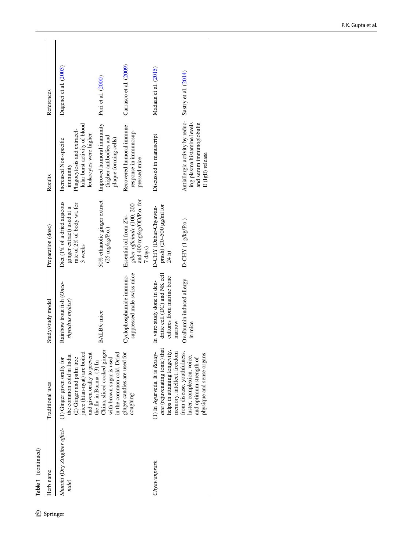| References<br>Results<br>Preparation (dose) | Dugenci et al. (2003)<br>lular burst activity of blood<br>Phagocytosis and extracel-<br>leukocytes were higher<br>Increased Non-specific<br>immunity<br>Diet (1% of a dried aqueous<br>rate of 2% of body wt. for<br>ginger extract) used at a<br>3 weeks<br>Rainbow trout fish (Onco- | Puri et al. (2000)<br>Improved humoral immunity<br>(higher antibodies and<br>plaque-forming cells)<br>50% ethanolic ginger extract<br>$(25 \text{ mg/kg/P.o.})$ | Carrasco et al. (2009)<br>Recovered humoral immune<br>response in immunosup-<br>pressed mice<br>and 400 mg/kg/OD/P.o. for<br>giber officinale (100, 200<br>Essential oil from Zin-<br>7 days)<br>suppressed male swiss mice<br>Cyclophosphamide immuno- | Madaan et al. (2015)<br>Discussed in manuscript<br>prash) (20–500 $\mu$ g/ml for<br>D-CHY (Dabar-Chyawan-<br>24 <sub>h</sub><br>dritic cell (DC) and NK cell<br>cultures from murine bone<br>In vitro study done in den- | Sastry et al. (2014)<br>Antiallergic activity by reduc-<br>and serum immunoglobulin<br>ing plasma histamine levels<br>D-CHY (1 g/kg/P.o.)<br>Ovalbumin induced allergy |
|---------------------------------------------|----------------------------------------------------------------------------------------------------------------------------------------------------------------------------------------------------------------------------------------------------------------------------------------|-----------------------------------------------------------------------------------------------------------------------------------------------------------------|---------------------------------------------------------------------------------------------------------------------------------------------------------------------------------------------------------------------------------------------------------|--------------------------------------------------------------------------------------------------------------------------------------------------------------------------------------------------------------------------|------------------------------------------------------------------------------------------------------------------------------------------------------------------------|
| Study/study model<br>Traditional uses       | rhynchus mykiss)<br>juice (htan-nyat) are boiled<br>and given orally to prevent<br>he common cold in India.<br>(1) Ginger given orally for<br>(2) Ginger and palm tree                                                                                                                 | <b>BALB</b> /c mice<br>China, sliced cooked ginger<br>in the common cold. Dried<br>with brown sugar is used<br>the flu in Burma. (3) In                         | ginger candies are used for<br>coughing                                                                                                                                                                                                                 | marrow<br>ana (rejuvenating tonic) that<br>(1) In Ayurveda, It is Rasay-<br>helps in attaining longevity,<br>memory, intellect, freedom                                                                                  | in mice<br>from disease, youthfulness,<br>physique and sense organs<br>luster, complexion, voice,<br>and optimum strength of                                           |
| Table 1 (continued)<br>Herb name            | Shunthi (Dry Zingiber offici-<br>nale)                                                                                                                                                                                                                                                 |                                                                                                                                                                 |                                                                                                                                                                                                                                                         | Chyawanprash                                                                                                                                                                                                             |                                                                                                                                                                        |

# $\underline{\mathcal{D}}$  Springer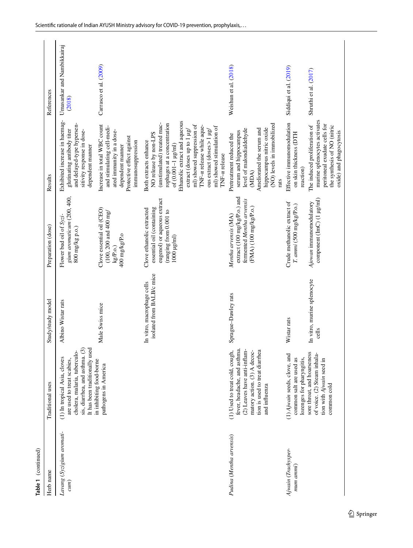| Table 1 (continued)               |                                                                                                                                                                                  |                                                         |                                                                                                                                    |                                                                                                                                                                                                                                                                                                                                                                      |                                      |
|-----------------------------------|----------------------------------------------------------------------------------------------------------------------------------------------------------------------------------|---------------------------------------------------------|------------------------------------------------------------------------------------------------------------------------------------|----------------------------------------------------------------------------------------------------------------------------------------------------------------------------------------------------------------------------------------------------------------------------------------------------------------------------------------------------------------------|--------------------------------------|
| Herb name                         | Traditional uses                                                                                                                                                                 | Study/study model                                       | Preparation (dose)                                                                                                                 | Results                                                                                                                                                                                                                                                                                                                                                              | References                           |
| Lavang (Syzigium aromati-<br>cum) | It has been traditionally used<br>sis, diarrhea, and asthma. (3)<br>cholera, malaria, tuberculo-<br>(1) In tropical Asia, cloves<br>are used to treat scabies,                   | Albino Wistar rats                                      | gium aromaticum (200, 400,<br>Flower bud oil of Syzi-<br>800 mg/kg p.o.)                                                           | Exhibited increase in haemag-<br>and delayed-type hypersen-<br>glutinating antibody titer<br>sitivity response in dose-<br>dependent manner                                                                                                                                                                                                                          | Umasankar and Nambikkairaj<br>(2018) |
|                                   | in inhibiting food-borne<br>pathogens in America                                                                                                                                 | Male Swiss mice                                         | Clove essential oil (CEO)<br>$(100, 200 \text{ and } 400 \text{ mg})$<br>400 mg/kg/P.o<br>$kg/P.0$ .)                              | Increase in total WBC count<br>and stimulating cell-medi-<br>ated immunity in a dose-<br>Protective effect against<br>immunosuppression<br>dependent manner                                                                                                                                                                                                          | Carrasco et al. (2009)               |
|                                   |                                                                                                                                                                                  | isolated from BALB/c mice<br>In vitro, macrophage cells | eugenol) or aqueous extract<br>essential oil (containing<br>Clove ethanolic extracted<br>(ranging from 0.001 to<br>$1000 \mu g/ml$ | Ethanolic extract and aqueous<br>(unstimulated) treated mac-<br>rophages at a concentration<br>ml) showed suppression of<br>TNF-a release while aque-<br>ml) showed stimulation of<br>ous extract (doses $> 1 \mu g$ /<br>$extract$ (doses up to 1 $\mu g$ )<br>NO release by non-LPS<br>Both extracts enhance<br>of $(0.001 - 1 \,\mathrm{kg/ml})$<br>TNF-a release |                                      |
| Pudina (Mentha arvensis)          | fever, headache, and asthma.<br>(2) Leaves have anti-inflam-<br>tion is used to treat diarrhea<br>(1) Used to treat cold, cough,<br>matory action. (3) A decoc-<br>and influenza | Sprague-Dawley rats                                     | extract (100 mg/kg/P.o.) and<br>fermented Mentha arvensis<br>$(FMA)$ (100 mg/kg/P.o.)<br>Mentha arvensis (MA)                      | (NO) levels in immobilized<br>hippocampus nitric oxide<br>Ameliorated the serum and<br>level of malondialdehyde<br>serum and hippocampus<br>Pretreatment reduced the<br>(MDA)<br>rats                                                                                                                                                                                | Weishun et al. (2018)                |
| Ajwain (Trachysper-<br>mum ammi)  | (1) Ajwain seeds, clove, and<br>lozenges for pharyngitis,<br>common salt are used as                                                                                             | Wistar rats                                             | Crude methanolic extract of<br>T. ammi (500 mg/kg/P.o.)                                                                            | Effective immunomodulation<br>on skin thickness (DTH<br>reaction)                                                                                                                                                                                                                                                                                                    | Siddiqui et al. (2019)               |
|                                   | sore throat, and hoarseness<br>of voice. (2) Steam inhala-<br>tion with Ajwain seed in<br>common cold                                                                            | In vitro, murine splenocyte<br>cells                    | component (ImC) (1 µg/ml)<br>Ajowan immunomodulatory                                                                               | murine splenocytes activates<br>peritoneal exudate cells for<br>The induced proliferation of<br>the synthesis of NO (nitric<br>oxide) and phagocytosis                                                                                                                                                                                                               | Shruthi et al. (2017)                |
|                                   |                                                                                                                                                                                  |                                                         |                                                                                                                                    |                                                                                                                                                                                                                                                                                                                                                                      |                                      |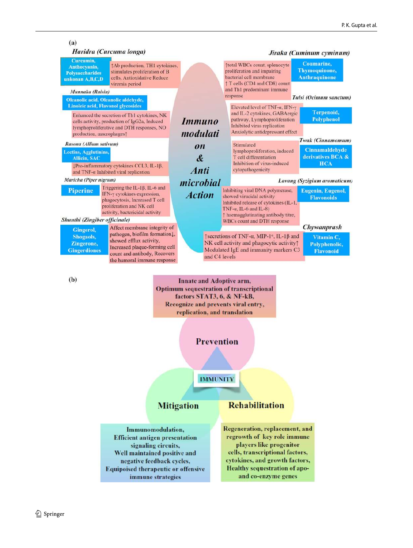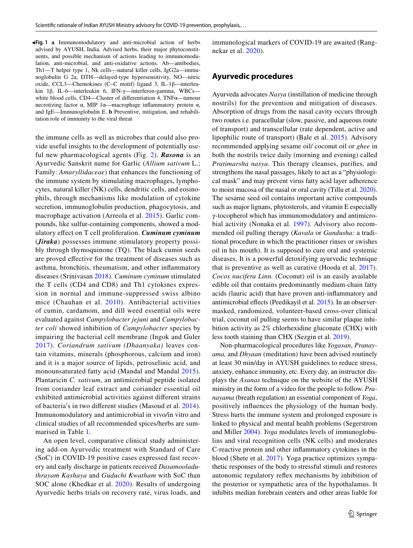<span id="page-10-0"></span>**Fig. 1 a** Immunomodulatory and anti-microbial action of herbs ◂advised by AYUSH, India. Advised herbs, their major phytoconstituents, and possible mechanism of actions leading to immunomodulation, anti-microbial, and anti-oxidative actions. Ab—antibodies, Th1—T helper type 1, Nk cells—natural killer cells, IgG2a—immunoglobulin G 2a, DTH—delayed-type hypersensitivity, NO—nitric oxide, CCL3—Chemokines (C–C motif) ligand 3, IL-1β—interleukin 1β, IL-6—interleukin 6, IFN-γ—interferon-gamma, WBCs white blood cells, CD4—Cluster of differentiation 4, TNFα—tumour necrotizing factor α, MIP 1α—macrophage inflammatory protein α, and IgE—Immunoglobulin E. **b** Preventive, mitigation, and rehabilitation role of immunity to the viral threat

the immune cells as well as microbes that could also provide useful insights to the development of potentially useful new pharmacological agents (Fig. [2](#page-11-0)). *Rasona* is an Ayurvedic Sanskrit name for Garlic (*Allium sativum* L.; Family: *Amaryllidaceae*) that enhances the functioning of the immune system by stimulating macrophages, lymphocytes, natural killer (NK) cells, dendritic cells, and eosinophils, through mechanisms like modulation of cytokine secretion, immunoglobulin production, phagocytosis, and macrophage activation (Arreola et al. [2015](#page-22-12)). Garlic compounds, like sulfur-containing components, showed a modulatory effect on T cell proliferation. *Cuminum cyminum* (*Jiraka*) possesses immune stimulatory property possibly through thymoquinone (TQ). The black cumin seeds are proved effective for the treatment of diseases such as asthma, bronchitis, rheumatism, and other inflammatory diseases (Srinivasan [2018\)](#page-24-13). *Cuminum cyminum* stimulated the T cells (CD4 and CD8) and Th1 cytokines expression in normal and immune-suppressed swiss albino mice (Chauhan et al. [2010](#page-22-2)). Antibacterial activities of cumin, cardamom, and dill weed essential oils were evaluated against *Campylobacter jejuni* and *Campylobacter coli* showed inhibition of *Campylobacter* species by impairing the bacterial cell membrane (Ingok and Guler [2017\)](#page-23-18). *Coriandrum sativum (Dhaanyaka)* leaves contain vitamins, minerals (phosphorous, calcium and iron) and it is a major source of lipids, petroselinic acid, and monounsaturated fatty acid (Mandal and Mandal [2015\)](#page-23-19). Plantaricin *C. sativum*, an antimicrobial peptide isolated from coriander leaf extract and coriander essential oil exhibited antimicrobial activities against different strains of bacteria's in two different studies (Masoud et al. [2014](#page-23-20)). Immunomodulatory and antimicrobial in vivo*/*in vitro and clinical studies of all recommended spices/herbs are summarised in Table [1.](#page-2-0)

An open level, comparative clinical study administering add-on Ayurvedic treatment with Standard of Care (SoC) in COVID-19 positive cases expressed fast recovery and early discharge in patients received *Dasamooladuthrayam Kashaya* and *Guduchi Kwatham* with SoC than SOC alone (Khedkar et al. [2020](#page-23-21)). Results of undergoing Ayurvedic herbs trials on recovery rate, virus loads, and immunological markers of COVID-19 are awaited (Rangnekar et al. [2020\)](#page-24-14).

## **Ayurvedic procedures**

Ayurveda advocates *Nasya* (instillation of medicine through nostrils) for the prevention and mitigation of diseases. Absorption of drugs from the nasal cavity occurs through two routes i.e. paracellular (slow, passive, and aqueous route of transport) and transcellular (rate dependent, active and lipophilic route of transport) (Bale et al. [2015](#page-22-13)). Advisory recommended applying sesame oil/ coconut oil or *ghee* in both the nostrils twice daily (morning and evening) called *Pratimarsha nasya*. This therapy cleanses, purifies, and strengthens the nasal passages, likely to act as a "physiological mask" and may prevent virus fatty acid layer adherence to moist mucosa of the nasal or oral cavity (Tillu et al. [2020](#page-24-15)). The sesame seed oil contains important active compounds such as major lignans, phytosterols, and vitamin E especially γ-tocopherol which has immunomodulatory and antimicrobial activity (Nonaka et al. [1997\)](#page-23-22). Advisory also recommended oil pulling therapy (*Kavala* or *Gandusha:* a traditional procedure in which the practitioner rinses or swishes oil in his mouth). It is supposed to cure oral and systemic diseases. It is a powerful detoxifying ayurvedic technique that is preventive as well as curative (Hooda et al. [2017](#page-23-23)). *Cocos nucifera Linn.* (Coconut) oil is an easily available edible oil that contains predominantly medium-chain fatty acids (lauric acid) that have proven anti-inflammatory and antimicrobial effects (Peedikayil et al. [2015\)](#page-24-16). In an observermasked, randomized, volunteer-based cross-over clinical trial, coconut oil pulling seems to have similar plaque inhibition activity as 2% chlorhexidine gluconate (CHX) with less tooth staining than CHX (Sezgin et al. [2019\)](#page-24-17).

Non-pharmacological procedures like *Yogasan*, *Pranayama,* and *Dhyaan* (meditation) have been advised routinely at least 30 min/day in AYUSH guidelines to reduce stress, anxiety, enhance immunity, etc. Every day, an instructor displays the *Asanas* technique on the website of the AYUSH ministry in the form of a video for the people to follow. *Pranayama* (breath regulation) an essential component of *Yoga*, positively influences the physiology of the human body. Stress hurts the immune system and prolonged exposure is linked to physical and mental health problems (Segerstrom and Miller [2004\)](#page-24-18). *Yoga* modulates levels of immunoglobulins and viral recognition cells (NK cells) and moderates C-reactive protein and other inflammatory cytokines in the blood (Shete et al. [2017](#page-24-19)). Yoga practice optimizes sympathetic responses of the body to stressful stimuli and restores autonomic regulatory reflex mechanisms by inhibition of the posterior or sympathetic area of the hypothalamus. It inhibits median forebrain centers and other areas liable for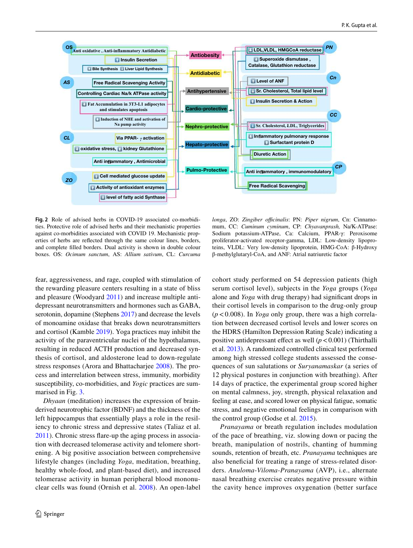

<span id="page-11-0"></span>**Fig. 2** Role of advised herbs in COVID-19 associated co-morbidities. Protective role of advised herbs and their mechanistic properties against co-morbidities associated with COVID 19. Mechanistic properties of herbs are reflected through the same colour lines, borders, and complete filled borders. Dual activity is shown in double colour boxes. OS: *Ocimum sanctum*, AS: *Allium sativum*, CL: *Curcuma* 

fear, aggressiveness, and rage, coupled with stimulation of the rewarding pleasure centers resulting in a state of bliss and pleasure (Woodyard [2011\)](#page-24-20) and increase multiple antidepressant neurotransmitters and hormones such as GABA, serotonin, dopamine (Stephens [2017](#page-24-21)) and decrease the levels of monoamine oxidase that breaks down neurotransmitters and cortisol (Kamble [2019\)](#page-23-24). Yoga practices may inhibit the activity of the paraventricular nuclei of the hypothalamus, resulting in reduced ACTH production and decreased synthesis of cortisol, and aldosterone lead to down-regulate stress responses (Arora and Bhattacharjee [2008](#page-22-14)). The process and interrelation between stress, immunity, morbidity susceptibility, co-morbidities, and *Yogic* practices are summarised in Fig. [3](#page-12-0).

*Dhyaan* (meditation) increases the expression of brainderived neurotrophic factor (BDNF) and the thickness of the left hippocampus that essentially plays a role in the resiliency to chronic stress and depressive states (Taliaz et al. [2011](#page-24-22)). Chronic stress flare-up the aging process in association with decreased telomerase activity and telomere shortening. A big positive association between comprehensive lifestyle changes (including *Yoga*, meditation, breathing, healthy whole-food, and plant-based diet), and increased telomerase activity in human peripheral blood mononuclear cells was found (Ornish et al. [2008\)](#page-23-25). An open-label

*longa*, ZO: *Zingiber officinalis*: PN: *Piper nigrum*, Cn: Cinnamomum, CC: *Cuminum cyminum*, CP: *Chyavanprash,* Na/K-ATPase: Sodium potassium-ATPase, Ca: Calcium, PPAR-γ: Peroxisome proliferator-activated receptor-gamma, LDL: Low-density lipoproteins, VLDL: Very low-density lipoprotein, HMG-CoA: β-Hydroxy β-methylglutaryl-CoA, and ANF: Atrial natriuretic factor

cohort study performed on 54 depression patients (high serum cortisol level), subjects in the *Yoga* groups (*Yoga* alone and *Yoga* with drug therapy) had significant drops in their cortisol levels in comparison to the drug-only group (*p* < 0.008). In *Yoga* only group, there was a high correlation between decreased cortisol levels and lower scores on the HDRS (Hamilton Depression Rating Scale) indicating a positive antidepressant effect as well (*p* < 0.001) (Thirthalli et al. [2013](#page-24-23)). A randomized controlled clinical test performed among high stressed college students assessed the consequences of sun salutations or *Suryanamaskar* (a series of 12 physical postures in conjunction with breathing). After 14 days of practice, the experimental group scored higher on mental calmness, joy, strength, physical relaxation and feeling at ease, and scored lower on physical fatigue, somatic stress, and negative emotional feelings in comparison with the control group (Godse et al. [2015\)](#page-23-26).

*Pranayama* or breath regulation includes modulation of the pace of breathing, viz. slowing down or pacing the breath, manipulation of nostrils, chanting of humming sounds, retention of breath, etc. *Pranayama* techniques are also beneficial for treating a range of stress-related disorders. *Anuloma*-*Viloma-Pranayama* (AVP), i.e., alternate nasal breathing exercise creates negative pressure within the cavity hence improves oxygenation (better surface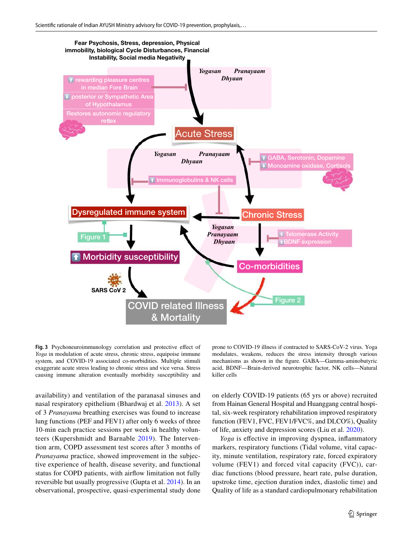

<span id="page-12-0"></span>**Fig. 3** Psychoneuroimmunology correlation and protective effect of *Yoga* in modulation of acute stress, chronic stress, equipoise immune system, and COVID-19 associated co-morbidities. Multiple stimuli exaggerate acute stress leading to chronic stress and vice versa. Stress causing immune alteration eventually morbidity susceptibility and

availability) and ventilation of the paranasal sinuses and nasal respiratory epithelium (Bhardwaj et al. [2013\)](#page-22-15). A set of 3 *Pranayama* breathing exercises was found to increase lung functions (PEF and FEV1) after only 6 weeks of three 10-min each practice sessions per week in healthy volunteers (Kupershmidt and Barnable [2019](#page-23-27)). The Intervention arm, COPD assessment test scores after 3 months of *Pranayama* practice, showed improvement in the subjective experience of health, disease severity, and functional status for COPD patients, with airflow limitation not fully reversible but usually progressive (Gupta et al. [2014\)](#page-23-28). In an observational, prospective, quasi-experimental study done

prone to COVID-19 illness if contracted to SARS-CoV-2 virus. Yoga modulates, weakens, reduces the stress intensity through various mechanisms as shown in the figure. GABA—Gamma-aminobutyric acid, BDNF—Brain-derived neurotrophic factor, NK cells—Natural killer cells

on elderly COVID-19 patients (65 yrs or above) recruited from Hainan General Hospital and Huanggang central hospital, six-week respiratory rehabilitation improved respiratory function (FEV1, FVC, FEV1/FVC%, and DLCO%), Quality of life, anxiety and depression scores (Liu et al. [2020\)](#page-23-29).

*Yoga* is effective in improving dyspnea, inflammatory markers, respiratory functions (Tidal volume, vital capacity, minute ventilation, respiratory rate, forced expiratory volume (FEV1) and forced vital capacity (FVC)), cardiac functions (blood pressure, heart rate, pulse duration, upstroke time, ejection duration index, diastolic time) and Quality of life as a standard cardiopulmonary rehabilitation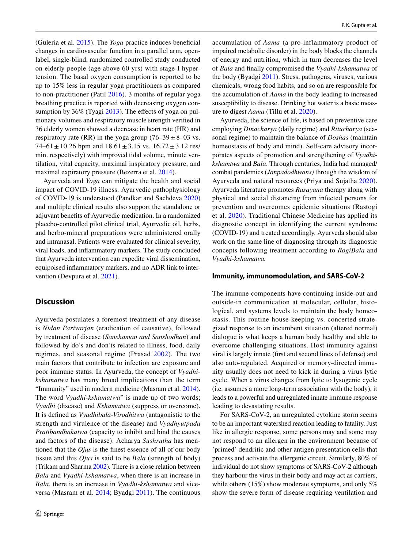(Guleria et al. [2015\)](#page-23-30). The *Yoga* practice induces beneficial changes in cardiovascular function in a parallel arm, openlabel, single-blind, randomized controlled study conducted on elderly people (age above 60 yrs) with stage-I hypertension. The basal oxygen consumption is reported to be up to 15% less in regular yoga practitioners as compared to non-practitioner (Patil [2016](#page-24-24)). 3 months of regular yoga breathing practice is reported with decreasing oxygen consumption by 36% (Tyagi [2013](#page-24-25)). The effects of yoga on pulmonary volumes and respiratory muscle strength verified in 36 elderly women showed a decrease in heart rate (HR) and respiratory rate (RR) in the yoga group  $(76-39 \pm 8-03 \text{ vs.})$ 74–61  $\pm$  10.26 bpm and 18.61  $\pm$  3.15 vs. 16.72  $\pm$  3.12 res/ min. respectively) with improved tidal volume, minute ventilation, vital capacity, maximal inspiratory pressure, and maximal expiratory pressure (Bezerra et al. [2014\)](#page-22-16).

Ayurveda and *Yoga* can mitigate the health and social impact of COVID-19 illness. Ayurvedic pathophysiology of COVID-19 is understood (Pandkar and Sachdeva [2020\)](#page-23-31) and multiple clinical results also support the standalone or adjuvant benefits of Ayurvedic medication. In a randomized placebo-controlled pilot clinical trial, Ayurvedic oil, herbs, and herbo-mineral preparations were administered orally and intranasal. Patients were evaluated for clinical severity, viral loads, and inflammatory markers. The study concluded that Ayurveda intervention can expedite viral dissemination, equipoised inflammatory markers, and no ADR link to intervention (Devpura et al. [2021](#page-22-17)).

# **Discussion**

Ayurveda postulates a foremost treatment of any disease is *Nidan Parivarjan* (eradication of causative), followed by treatment of disease (*Sanshaman and Sanshodhan*) and followed by do's and don'ts related to illness, food, daily regimes, and seasonal regime (Prasad [2002\)](#page-24-26). The two main factors that contribute to infection are exposure and poor immune status. In Ayurveda, the concept of *Vyadhikshamatwa* has many broad implications than the term "Immunity" used in modern medicine (Masram et al. [2014](#page-23-32)). The word *Vyadhi-kshamatwa*" is made up of two words; *Vyadhi* (disease) and *Kshamatwa* (suppress or overcome). It is defined as *Vyadhibala-Virodhitwa* (antagonistic to the strength and virulence of the disease) and *Vyadhyutpada Pratibandhakatwa* (capacity to inhibit and bind the causes and factors of the disease). Acharya *Sushrutha* has mentioned that the *Ojus* is the finest essence of all of our body tissue and this *Ojus* is said to be *Bala* (strength of body) (Trikam and Sharma [2002\)](#page-24-27). There is a close relation between *Bala* and *Vyadhi*-*kshamatwa*, when there is an increase in *Bala*, there is an increase in *Vyadhi*-*kshamatwa* and viceversa (Masram et al. [2014](#page-23-32); Byadgi [2011\)](#page-22-18). The continuous accumulation of *Aama* (a pro-inflammatory product of impaired metabolic disorder) in the body blocks the channels of energy and nutrition, which in turn decreases the level of *Bala* and finally compromised the *Vyadhi*-*kshamatwa* of the body (Byadgi [2011](#page-22-18)). Stress, pathogens, viruses, various chemicals, wrong food habits, and so on are responsible for the accumulation of *Aama* in the body leading to increased susceptibility to disease. Drinking hot water is a basic measure to digest *Aama* (Tillu et al. [2020\)](#page-24-15).

Ayurveda, the science of life, is based on preventive care employing *Dinacharya* (daily regime) and *Ritucharya* (seasonal regime) to maintain the balance of *Doshas* (maintain homeostasis of body and mind). Self-care advisory incorporates aspects of promotion and strengthening of *Vyadhikshamtwa* and *Bala*. Through centuries, India had managed/ combat pandemics (*Janpadodhwans)* through the wisdom of Ayurveda and natural resources (Priya and Sujatha [2020](#page-24-28)). Ayurveda literature promotes *Rasayana* therapy along with physical and social distancing from infected persons for prevention and overcomes epidemic situations (Rastogi et al. [2020\)](#page-24-29). Traditional Chinese Medicine has applied its diagnostic concept in identifying the current syndrome (COVID-19) and treated accordingly. Ayurveda should also work on the same line of diagnosing through its diagnostic concepts following treatment according to *RogiBala* and *Vyadhi-kshamatva.*

#### **Immunity, immunomodulation, and SARS‑CoV‑2**

The immune components have continuing inside-out and outside-in communication at molecular, cellular, histological, and systems levels to maintain the body homeostasis. This routine house-keeping vs. concerted strategized response to an incumbent situation (altered normal) dialogue is what keeps a human body healthy and able to overcome challenging situations. Host immunity against viral is largely innate (first and second lines of defense) and also auto-regulated. Acquired or memory-directed immunity usually does not need to kick in during a virus lytic cycle. When a virus changes from lytic to lysogenic cycle (i.e. assumes a more long-term association with the body), it leads to a powerful and unregulated innate immune response leading to devastating results.

For SARS-CoV-2, an unregulated cytokine storm seems to be an important watershed reaction leading to fatality. Just like in allergic response, some persons may and some may not respond to an allergen in the environment because of 'primed' dendritic and other antigen presentation cells that process and activate the allergenic circuit. Similarly, 80% of individual do not show symptoms of SARS-CoV-2 although they harbour the virus in their body and may act as carriers, while others (15%) show moderate symptoms, and only 5% show the severe form of disease requiring ventilation and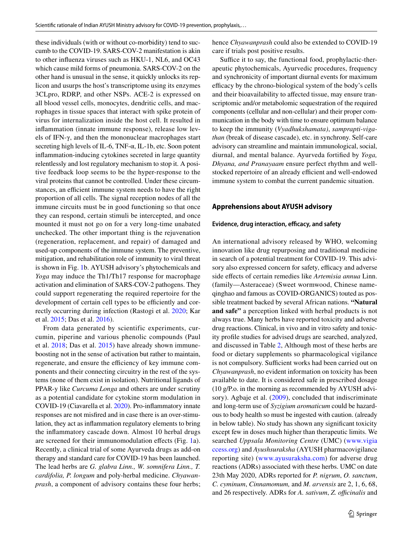these individuals (with or without co-morbidity) tend to succumb to the COVID-19. SARS-COV-2 manifestation is akin to other influenza viruses such as HKU-1, NL6, and OC43 which cause mild forms of pneumonia. SARS-COV-2 on the other hand is unusual in the sense, it quickly unlocks its replicon and usurps the host's transcriptome using its enzymes 3CLpro, RDRP, and other NSPs. ACE-2 is expressed on all blood vessel cells, monocytes, dendritic cells, and macrophages in tissue spaces that interact with spike protein of virus for internalization inside the host cell. It resulted in inflammation (innate immune response), release low levels of IFN-γ, and then the mononuclear macrophages start secreting high levels of IL-6, TNF- $\alpha$ , IL-1b, etc. Soon potent inflammation-inducing cytokines secreted in large quantity relentlessly and lost regulatory mechanism to stop it. A positive feedback loop seems to be the hyper-response to the viral proteins that cannot be controlled. Under these circumstances, an efficient immune system needs to have the right proportion of all cells. The signal reception nodes of all the immune circuits must be in good functioning so that once they can respond, certain stimuli be intercepted, and once mounted it must not go on for a very long-time unabated unchecked. The other important thing is the rejuvenation (regeneration, replacement, and repair) of damaged and used-up components of the immune system. The preventive, mitigation, and rehabilitation role of immunity to viral threat is shown in Fig. [1b](#page-10-0). AYUSH advisory's phytochemicals and *Yoga* may induce the Th1/Th17 response for macrophage activation and elimination of SARS-COV-2 pathogens. They could support regenerating the required repertoire for the development of certain cell types to be efficiently and correctly occurring during infection (Rastogi et al. [2020](#page-24-29); Kar et al. [2015](#page-23-33); Das et al. [2016\)](#page-22-19).

From data generated by scientific experiments, curcumin, piperine and various phenolic compounds (Paul et al. [2018](#page-24-30); Das et al. [2015](#page-22-20)) have already shown immuneboosting not in the sense of activation but rather to maintain, regenerate, and ensure the efficiency of key immune components and their connecting circuitry in the rest of the systems (none of them exist in isolation). Nutritional ligands of PPAR-y like *Curcuma Longa* and others are under scrutiny as a potential candidate for cytokine storm modulation in COVID-19 (Ciavarella et al. [2020](#page-22-21)). Pro-inflammatory innate responses are not misfired and in case there is an over-stimulation, they act as inflammation regulatory elements to bring the inflammatory cascade down. Almost 10 herbal drugs are screened for their immunomodulation effects (Fig. [1a](#page-10-0)). Recently, a clinical trial of some Ayurveda drugs as add-on therapy and standard care for COVID-19 has been launched. The lead herbs are *G. glabra Linn., W. somnifera Linn., T. cardifolia, P. longum* and poly-herbal medicine. *Chyawanprash*, a component of advisory contains these four herbs; hence *Chyawanprash* could also be extended to COVID-19 care if trials post positive results.

Suffice it to say, the functional food, prophylactic-therapeutic phytochemicals, Ayurvedic procedures, frequency and synchronicity of important diurnal events for maximum efficacy by the chrono-biological system of the body's cells and their bioavailability to affected tissue, may ensure transcriptomic and/or metabolomic sequestration of the required components (cellular and non-cellular) and their proper communication in the body with time to ensure optimum balance to keep the immunity (*Vyadhukshamata)*, *samprapti-vigathan* (break of disease cascade), etc. in synchrony. Self-care advisory can streamline and maintain immunological, social, diurnal, and mental balance. Ayurveda fortified by *Yoga, Dhyana, and Pranayaam* ensure perfect rhythm and wellstocked repertoire of an already efficient and well-endowed immune system to combat the current pandemic situation.

#### **Apprehensions about AYUSH advisory**

#### **Evidence, drug interaction, efficacy, and safety**

An international advisory released by WHO, welcoming innovation like drug repurposing and traditional medicine in search of a potential treatment for COVID-19. This advisory also expressed concern for safety, efficacy and adverse side effects of certain remedies like *Artemisia annua* Linn. (family—Asteraceae) (Sweet wormwood, Chinese nameqinghao and famous as COVID-ORGANICS) touted as possible treatment backed by several African nations. **"Natural and safe"** a perception linked with herbal products is not always true. Many herbs have reported toxicity and adverse drug reactions. Clinical, in vivo and in vitro safety and toxicity profile studies for advised drugs are searched, analyzed, and discussed in Table [2](#page-15-0), Although most of these herbs are food or dietary supplements so pharmacological vigilance is not compulsory. Sufficient works had been carried out on *Chyawanprash*, no evident information on toxicity has been available to date. It is considered safe in prescribed dosage (10 g/P.o. in the morning as recommended by AYUSH advisory). Agbaje et al. [\(2009\)](#page-22-22), concluded that indiscriminate and long-term use of *Syzigium aromaticum* could be hazardous to body health so must be ingested with caution. (already in below table). No study has shown any significant toxicity except few in doses much higher than therapeutic limits. We searched *Uppsala Monitoring Centre* (UMC) ([www. vigia](http://www.vigiaccess.org) [ccess. org](http://www.vigiaccess.org)) and *Ayushsuraksha* (AYUSH pharmacovigilance reporting site) (www.ayusuraksha.com) for adverse drug reactions (ADRs) associated with these herbs. UMC on date 23th May 2020, ADRs reported for *P. nigrum*, *O. sanctum*, *C. cyminum*, *Cinnamomum,* and *M. arvensis* are 2, 1, 6, 68, and 26 respectively. ADRs for *A. sativum*, *Z. officinalis* and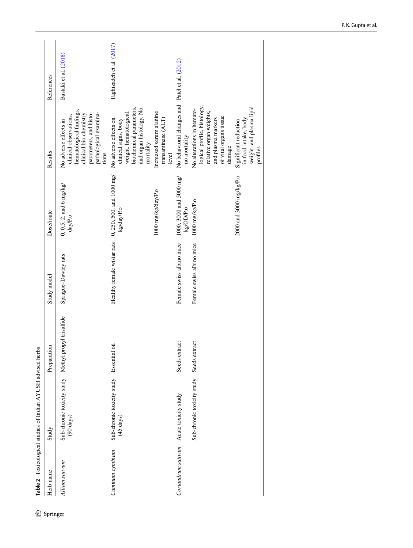| Herb name          | Study                                             | Preparation              | Study model                | Dose/route                              | Results                                                                                                                                                          | References               |
|--------------------|---------------------------------------------------|--------------------------|----------------------------|-----------------------------------------|------------------------------------------------------------------------------------------------------------------------------------------------------------------|--------------------------|
| Allium sativum     | Sub-chronic toxicity study<br>$(90 \text{ days})$ | Methyl propyl trisulfide | Sprague-Dawley rats        | $0, 0.5, 2,$ and 6 mg/kg/<br>day/P.o    | hematological findings,<br>pathological examina-<br>parameters, and histo-<br>clinical bio-chemistry<br>clinical observations,<br>No adverse effects in<br>tions | Bastaki et al. (2018)    |
| Cuminum cyminum    | Sub-chronic toxicity study<br>$(45 \text{ days})$ | ā<br>Essential           | Healthy female wistar rats | 0, 250, 500, and 1000 mg/<br>kg/day/P.o | biochemical parameters,<br>and organ histology. No<br>weight, hematological,<br>No adverse effects on<br>clinical signs, body<br>mortality                       | Taghizadeh et al. (2017) |
|                    |                                                   |                          |                            | 1000 mg/kg/day/P.o                      | Increased serum alanine<br>transaminase (ALT)<br>level                                                                                                           |                          |
| Coriandrum sativum | Acute toxicity study                              | Seeds extract            | Female swiss albino mice   | 1000, 3000 and 5000 mg/<br>kg/OD/P.o    | No behavioral changes and Patel et al. (2012)<br>no mortality                                                                                                    |                          |
|                    | Sub-chronic toxicity study                        | Seeds extract            | Female swiss albino mice   | 1000 mg/kg/P.o                          | logical profile, histology,<br>No alterations in hemato-<br>relative organ weights,<br>of vital organs tissue<br>and plasma markers<br>damage                    |                          |
|                    |                                                   |                          |                            | 2000 and 3000 mg/kg/P.o                 | weight, and plasma lipid<br>in food intake, body<br>Significant reduction<br>profiles                                                                            |                          |

<span id="page-15-0"></span> $\underline{\mathcal{D}}$  Springer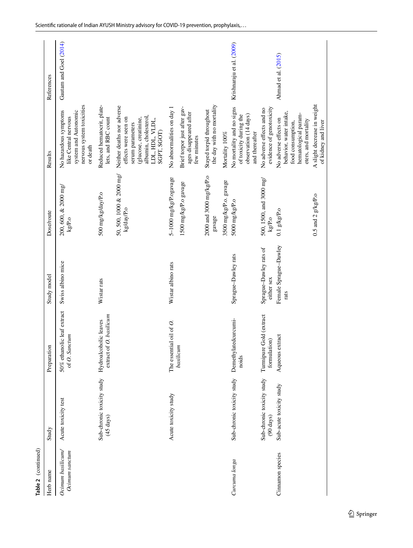| Table 2 (continued)                 |                                                   |                                                  |                                      |                                        |                                                                                                                                                            |                           |
|-------------------------------------|---------------------------------------------------|--------------------------------------------------|--------------------------------------|----------------------------------------|------------------------------------------------------------------------------------------------------------------------------------------------------------|---------------------------|
| Herb name                           | Study                                             | Preparation                                      | Study model                          | Dose/route                             | Results                                                                                                                                                    | References                |
| Ocimum basilicum/<br>Ocimum sanctum | Acute toxicity test                               | 50% ethanolic leaf extract<br>of O. Sanctum      | Swiss albino mice                    | 200, 600, & 2000 mg/<br>kg/P.o         | nervous system toxicities<br>No hazardous symptoms<br>system and Autonomic<br>like Central nervous<br>or death                                             | Gautam and Goel (2014)    |
|                                     | Sub-chronic toxicity study<br>$(45 \text{ days})$ | extract of O. basilicum<br>Hydroalcoholic leaves | Wistar rats                          | 500 mg/kg/day/P.o                      | Reduced hematocrit, plate-<br>lets, and RBC count                                                                                                          |                           |
|                                     |                                                   |                                                  |                                      | 50, 500, 1000 & 2000 mg/<br>kg/day/P.o | Neither deaths nor adverse<br>albumin, cholesterol,<br>effects were seen on<br>(glucose, creatinine,<br>LDL, HDL, VLDL,<br>serum parameters<br>SGPT, SGOT) |                           |
|                                     | Acute toxicity study                              | The essential oil of O.                          | Wistar albino rats                   | 5-1000 mg/kg/P.ogavage                 | No abnormalities on day 1                                                                                                                                  |                           |
|                                     |                                                   | basilicum                                        |                                      | 1500 mg/kg/P.o gavage                  | Brief torpor just after gav-<br>ages disappeared after<br>few minutes                                                                                      |                           |
|                                     |                                                   |                                                  |                                      | 2000 and 3000 mg/kg/P.o<br>gavage      | the day with no mortality<br>Stayed torpid throughout                                                                                                      |                           |
|                                     |                                                   |                                                  |                                      | 3500 mg/kg/P.o. gavage                 | Mortality 100%                                                                                                                                             |                           |
| Curcuma longa                       | Sub-chronic toxicity study                        | Demethylatedcurcumi-<br>noids                    | Sprague-Dawley rats                  | 5000 mg/kg/P.o                         | No mortality and no signs<br>observation (14 days)<br>of toxicity during the<br>and thereafter                                                             | Krishnaraju et al. (2009) |
|                                     | Sub-chronic toxicity study<br>$(90 \text{ days})$ | Gold (extract<br>formulation)<br>Turmipure       | Sprague-Dawley rats of<br>either sex | 500, 1500, and 3000 mg/<br>kgP.o       | evidence of genotoxicity<br>No adverse effects and no                                                                                                      |                           |
| Cinnamon species                    | Sub-acute toxicity study                          | Aqueous extract                                  | Female Sprague-Dawley<br>rats        | $0.1$ g/kg/P.o                         | behavior, water intake,<br>hematological param-<br>No adverse effects on<br>eters, and mortality<br>food consumption,                                      | Ahmad et al. (2015)       |
|                                     |                                                   |                                                  |                                      | $0.5$ and $2$ g/kg/P.o                 | A slight decrease in weight<br>of kidney and liver                                                                                                         |                           |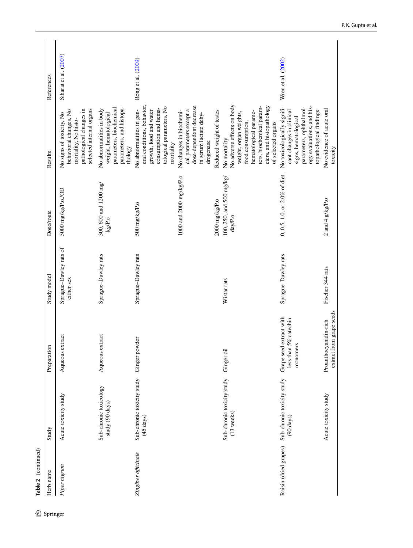| Herb name             | Study                                             | Preparation                                                     | Study model                          | Dose/route                                 | Results                                                                                                                                                                                           | References              |
|-----------------------|---------------------------------------------------|-----------------------------------------------------------------|--------------------------------------|--------------------------------------------|---------------------------------------------------------------------------------------------------------------------------------------------------------------------------------------------------|-------------------------|
| Piper nigrum          | Acute toxicity study                              | Aqueous extract                                                 | Sprague-Dawley rats of<br>either sex | 5000 mg/kg/P.o./OD                         | pathological changes in<br>selected internal organs<br>behavioral changes, No<br>No signs of toxicity, No<br>mortality, No histo-                                                                 | Siharat et al. $(2007)$ |
|                       | Sub-chronic toxicology<br>study (90 days)         | Aqueous extract                                                 | Sprague-Dawley rats                  | 300, 600 and 1200 mg/<br>$\mathrm{kgP.0}$  | parameters, biochemical<br>parameters, and histopa-<br>No abnormalities in body<br>weight, hematological<br>thology                                                                               |                         |
| Zingiber officinale   | Sub-chronic toxicity study<br>$(45 \text{ days})$ | Ginger powder                                                   | Sprague-Dawley rats                  | 500 mg/kg/P.o                              | eral conditions, behavior,<br>tological parameters, No<br>consumption and hema-<br>No abnormalities in gen-<br>growth, food and water<br>mortality                                                | Rong et al. (2009)      |
|                       |                                                   |                                                                 |                                      | 1000 and 2000 mg/kg/P.o                    | dose-dependent decrease<br>cal parameters except a<br>No changes in biochemi-<br>in serum lactate dehy-<br>drogenase                                                                              |                         |
|                       |                                                   |                                                                 |                                      | 2000 mg/kg/P.o                             | Reduced weight of testes                                                                                                                                                                          |                         |
|                       | Sub-chronic toxicity study<br>$(13$ weeks)        | Ginger oil                                                      | Wistar rats                          | 100, 250, and 500 mg/kg/<br>${\rm day/Po}$ | No adverse effects on body<br>eters, and histopathology<br>ters, biochemical param-<br>hematological parame-<br>weight, organ weights,<br>food consumption,<br>of selected organs<br>No mortality |                         |
| Raisin (dried grapes) | Sub-chronic toxicity study<br>$(90 \text{ days})$ | Grape seed extract with<br>5% catechin<br>monomers<br>less than | Sprague-Dawley rats                  | 0, 0.5, 1.0, or $2.0\%$ of diet            | ogy evaluations, and his-<br>No toxicologically signifi-<br>parameters, ophthalmol-<br>cant changes in clinical<br>topathological findings<br>signs, hematological                                | Wren et al. (2002)      |
|                       | Acute toxicity study                              | extract from grape seeds<br>Proanthocyanidin-rich               | Fischer 344 rats                     | 2 and 4 $g/kgP.0$                          | No evidence of acute oral<br>toxicity                                                                                                                                                             |                         |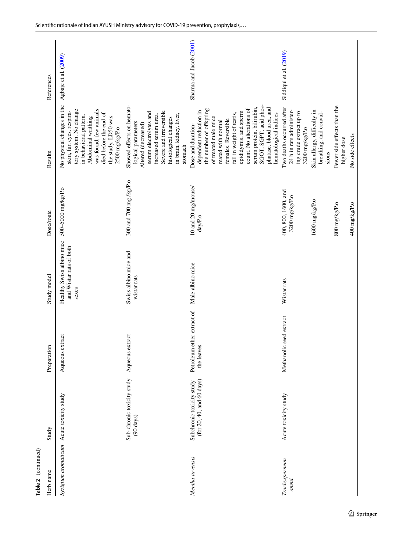| Preparation<br>Sub-chronic toxicity study<br>Syzigium aromaticum Acute toxicity study<br>$(90 \text{ days})$<br>Study<br>Herb name | Aqueous extract                          | Healthy Swiss albino mice<br>Study model | Dose/route                                                                                | Results                                                                                                                                                                                                                                                                                                                                   | References              |
|------------------------------------------------------------------------------------------------------------------------------------|------------------------------------------|------------------------------------------|-------------------------------------------------------------------------------------------|-------------------------------------------------------------------------------------------------------------------------------------------------------------------------------------------------------------------------------------------------------------------------------------------------------------------------------------------|-------------------------|
|                                                                                                                                    |                                          |                                          |                                                                                           |                                                                                                                                                                                                                                                                                                                                           |                         |
|                                                                                                                                    |                                          | and Wistar rats of both<br>sexes         | 500-5000 mg/kg/P.o                                                                        | No physical changes in the<br>tory system. No change<br>was found, few animals<br>skin, fur, eyes, respira-<br>died before the end of<br>in behavioral pattern.<br>Abdominal writhing<br>the study. LD50 was<br>2500 mg/kg/P.o                                                                                                            | Agbaje et al. (2009)    |
|                                                                                                                                    | Aqueous extract                          | Swiss albino mice and<br>wistar rats     | 300 and 700 mg /kg/P.o                                                                    | Showed effects on hemato-<br>Severe and irreversible<br>serum electrolytes and<br>in brain, kidney, liver,<br>increased serum urea.<br>histological changes<br>logical parameters<br>Altered (decreased)<br>stomach                                                                                                                       |                         |
| (for 20, 40, and 60 days)<br>Subchronic toxicity study<br>Mentha arvensis                                                          | Petroleum ether extract of<br>the leaves | Male albino mice                         | 10 and 20 mg/mouse/<br>day/P.o                                                            | SGOT, SGPT, acid phos-<br>serum protein, bilirubin,<br>phatase, blood urea, and<br>count. No alterations of<br>the number of offspring<br>dependent reduction in<br>epididymis, and sperm<br>fall in weight of testis,<br>hematological indices<br>of treated male mice<br>females. Reversible<br>mated with normal<br>Dose and duration- | Sharma and Jacob (2001) |
| Methanolic<br>Acute toxicity study<br>Trachyspermum<br>ammi                                                                        | seed extract                             | Wistar rats                              | 400, 800, 1600, and<br>3200 mg/kg/P.o<br>1600 mg/kg/P.o<br>800 mg/kg/P.o<br>400 mg/kg/P.o | Fewer side effects than the<br>Two deaths occurred after<br>24 h in rats administer-<br>Skin allergy, difficulty in<br>ing crude extract up to<br>breathing, and convul-<br>$3200$ mg/kg/P.o<br>No side effects<br>higher dose<br>sions                                                                                                   | Siddiqui et al. (2019)  |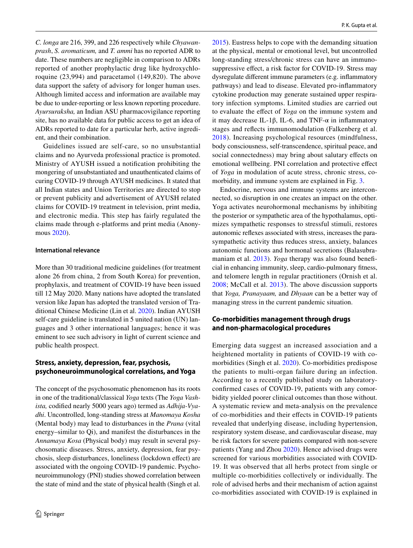*C. longa* are 216, 399, and 226 respectively while *Chyawanprash*, *S. aromaticum,* and *T. ammi* has no reported ADR to date. These numbers are negligible in comparison to ADRs reported of another prophylactic drug like hydroxychloroquine (23,994) and paracetamol (149,820). The above data support the safety of advisory for longer human uses. Although limited access and information are available may be due to under-reporting or less known reporting procedure. *Ayursuraksha,* an Indian ASU pharmacovigilance reporting site, has no available data for public access to get an idea of ADRs reported to date for a particular herb, active ingredient, and their combination.

Guidelines issued are self-care, so no unsubstantial claims and no Ayurveda professional practice is promoted. Ministry of AYUSH issued a notification prohibiting the mongering of unsubstantiated and unauthenticated claims of curing COVID-19 through AYUSH medicines. It stated that all Indian states and Union Territories are directed to stop or prevent publicity and advertisement of AYUSH related claims for COVID-19 treatment in television, print media, and electronic media. This step has fairly regulated the claims made through e-platforms and print media (Anonymous [2020\)](#page-22-25).

#### **International relevance**

More than 30 traditional medicine guidelines (for treatment alone 26 from china, 2 from South Korea) for prevention, prophylaxis, and treatment of COVID-19 have been issued till 12 May 2020. Many nations have adopted the translated version like Japan has adopted the translated version of Traditional Chinese Medicine (Lin et al. [2020](#page-23-36)). Indian AYUSH self-care guideline is translated in 5 united nation (UN) languages and 3 other international languages; hence it was eminent to see such advisory in light of current science and public health prospect.

# **Stress, anxiety, depression, fear, psychosis, psychoneuroimmunological correlations, and Yoga**

The concept of the psychosomatic phenomenon has its roots in one of the traditional/classical *Yoga* texts (The *Yoga Vashista,* codified nearly 5000 years ago) termed as *Adhija-Vyadhi*. Uncontrolled, long-standing stress at *Manomaya Kosha* (Mental body) may lead to disturbances in the *Prana* (vital energy–similar to Qi), and manifest the disturbances in the *Annamaya Kosa* (Physical body) may result in several psychosomatic diseases. Stress, anxiety, depression, fear psychosis, sleep disturbances, loneliness (lockdown effect) are associated with the ongoing COVID-19 pandemic. Psychoneuroimmunology (PNI) studies showed correlation between the state of mind and the state of physical health (Singh et al.

[2015](#page-24-37)). Eustress helps to cope with the demanding situation at the physical, mental or emotional level, but uncontrolled long-standing stress/chronic stress can have an immunosuppressive effect, a risk factor for COVID-19. Stress may dysregulate different immune parameters (e.g. inflammatory pathways) and lead to disease. Elevated pro-inflammatory cytokine production may generate sustained upper respiratory infection symptoms. Limited studies are carried out to evaluate the effect of *Yoga* on the immune system and it may decrease IL-1β, IL-6, and TNF-α in inflammatory stages and reflects immunomodulation (Falkenberg et al. [2018\)](#page-23-37). Increasing psychological resources (mindfulness, body consciousness, self-transcendence, spiritual peace, and social connectedness) may bring about salutary effects on emotional wellbeing. PNI correlation and protective effect of *Yoga* in modulation of acute stress, chronic stress, comorbidity, and immune system are explained in Fig. [3](#page-12-0).

Endocrine, nervous and immune systems are interconnected, so disruption in one creates an impact on the other. Yoga activates neurohormonal mechanisms by inhibiting the posterior or sympathetic area of the hypothalamus, optimizes sympathetic responses to stressful stimuli, restores autonomic reflexes associated with stress, increases the parasympathetic activity thus reduces stress, anxiety, balances autonomic functions and hormonal secretions (Balasubramaniam et al. [2013\)](#page-22-26). *Yoga* therapy was also found beneficial in enhancing immunity, sleep, cardio-pulmonary fitness, and telomere length in regular practitioners (Ornish et al. [2008;](#page-23-25) McCall et al. [2013](#page-23-38)). The above discussion supports that *Yoga, Pranayaam,* and *Dhyaan* can be a better way of managing stress in the current pandemic situation.

# **Co‑morbidities management through drugs and non‑pharmacological procedures**

Emerging data suggest an increased association and a heightened mortality in patients of COVID-19 with comorbidities (Singh et al. [2020\)](#page-24-38). Co-morbidities predispose the patients to multi-organ failure during an infection. According to a recently published study on laboratoryconfirmed cases of COVID-19, patients with any comorbidity yielded poorer clinical outcomes than those without. A systematic review and meta-analysis on the prevalence of co-morbidities and their effects in COVID-19 patients revealed that underlying disease, including hypertension, respiratory system disease, and cardiovascular disease, may be risk factors for severe patients compared with non-severe patients (Yang and Zhou [2020\)](#page-24-39). Hence advised drugs were screened for various morbidities associated with COVID-19. It was observed that all herbs protect from single or multiple co-morbidities collectively or individually. The role of advised herbs and their mechanism of action against co-morbidities associated with COVID-19 is explained in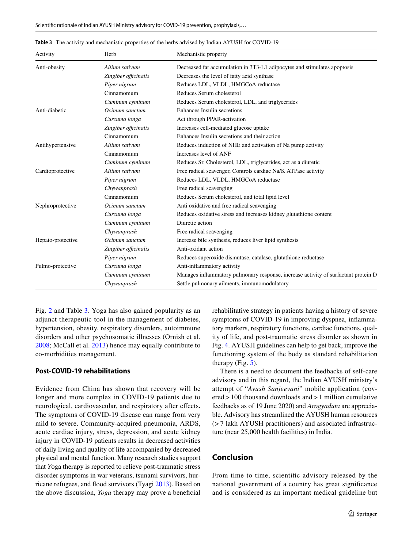| Activity          | Herb                 | Mechanistic property                                                               |
|-------------------|----------------------|------------------------------------------------------------------------------------|
| Anti-obesity      | Allium sativum       | Decreased fat accumulation in 3T3-L1 adipocytes and stimulates apoptosis           |
|                   | Zingiber officinalis | Decreases the level of fatty acid synthase                                         |
|                   | Piper nigrum         | Reduces LDL, VLDL, HMGCoA reductase                                                |
|                   | Cinnamomum           | Reduces Serum cholesterol                                                          |
|                   | Cuminum cyminum      | Reduces Serum cholesterol, LDL, and triglycerides                                  |
| Anti-diabetic     | Ocimum sanctum       | Enhances Insulin secretions                                                        |
|                   | Curcuma longa        | Act through PPAR-activation                                                        |
|                   | Zingiber officinalis | Increases cell-mediated glucose uptake                                             |
|                   | Cinnamomum           | Enhances Insulin secretions and their action                                       |
| Antihypertensive  | Allium sativum       | Reduces induction of NHE and activation of Na pump activity                        |
|                   | Cinnamomum           | Increases level of ANF                                                             |
|                   | Cuminum cyminum      | Reduces Sr. Cholesterol, LDL, triglycerides, act as a diuretic                     |
| Cardioprotective  | Allium sativum       | Free radical scavenger, Controls cardiac Na/K ATPase activity                      |
|                   | Piper nigrum         | Reduces LDL, VLDL, HMGCoA reductase                                                |
|                   | Chywanprash          | Free radical scavenging                                                            |
|                   | Cinnamomum           | Reduces Serum cholesterol, and total lipid level                                   |
| Nephroprotective  | Ocimum sanctum       | Anti oxidative and free radical scavenging                                         |
|                   | Curcuma longa        | Reduces oxidative stress and increases kidney glutathione content                  |
|                   | Cuminum cyminum      | Diuretic action                                                                    |
|                   | Chywanprash          | Free radical scavenging                                                            |
| Hepato-protective | Ocimum sanctum       | Increase bile synthesis, reduces liver lipid synthesis                             |
|                   | Zingiber officinalis | Anti-oxidant action                                                                |
|                   | Piper nigrum         | Reduces superoxide dismutase, catalase, glutathione reductase                      |
| Pulmo-protective  | Curcuma longa        | Anti-inflammatory activity                                                         |
|                   | Cuminum cyminum      | Manages inflammatory pulmonary response, increase activity of surfactant protein D |
|                   | Chywanprash          | Settle pulmonary ailments, immunomodulatory                                        |

<span id="page-20-0"></span>**Table 3** The activity and mechanistic properties of the herbs advised by Indian AYUSH for COVID-19

Fig. [2](#page-11-0) and Table [3.](#page-20-0) Yoga has also gained popularity as an adjunct therapeutic tool in the management of diabetes, hypertension, obesity, respiratory disorders, autoimmune disorders and other psychosomatic illnesses (Ornish et al. [2008](#page-23-25); McCall et al. [2013\)](#page-23-38) hence may equally contribute to co-morbidities management.

## **Post‑COVID‑19 rehabilitations**

Evidence from China has shown that recovery will be longer and more complex in COVID-19 patients due to neurological, cardiovascular, and respiratory after effects**.** The symptoms of COVID-19 disease can range from very mild to severe. Community-acquired pneumonia, ARDS, acute cardiac injury, stress, depression, and acute kidney injury in COVID-19 patients results in decreased activities of daily living and quality of life accompanied by decreased physical and mental function. Many research studies support that *Y*oga therapy is reported to relieve post-traumatic stress disorder symptoms in war veterans, tsunami survivors, hurricane refugees, and flood survivors (Tyagi [2013](#page-24-25)). Based on the above discussion, *Yoga* therapy may prove a beneficial rehabilitative strategy in patients having a history of severe symptoms of COVID-19 in improving dyspnea, inflammatory markers, respiratory functions, cardiac functions, quality of life, and post-traumatic stress disorder as shown in Fig. [4](#page-21-0). AYUSH guidelines can help to get back, improve the functioning system of the body as standard rehabilitation therapy (Fig.  $5$ ).

There is a need to document the feedbacks of self-care advisory and in this regard, the Indian AYUSH ministry's attempt of "*Ayush Sanjeevani*" mobile application (covered > 100 thousand downloads and > 1 million cumulative feedbacks as of 19 June 2020) and *Arogyaduta* are appreciable. Advisory has streamlined the AYUSH human resources (> 7 lakh AYUSH practitioners) and associated infrastructure (near 25,000 health facilities) in India.

# **Conclusion**

From time to time, scientific advisory released by the national government of a country has great significance and is considered as an important medical guideline but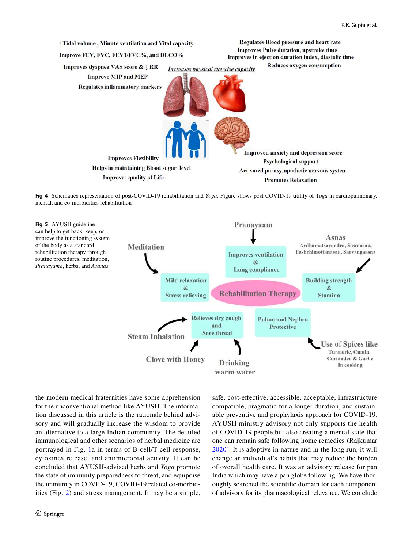

<span id="page-21-0"></span>

<span id="page-21-1"></span>

the modern medical fraternities have some apprehension for the unconventional method like AYUSH. The information discussed in this article is the rationale behind advisory and will gradually increase the wisdom to provide an alternative to a large Indian community. The detailed immunological and other scenarios of herbal medicine are portrayed in Fig. [1](#page-10-0)a in terms of B-cell/T-cell response, cytokines release, and antimicrobial activity. It can be concluded that AYUSH-advised herbs and *Yoga* promote the state of immunity preparedness to threat, and equipoise the immunity in COVID-19, COVID-19 related co-morbidities (Fig. [2\)](#page-11-0) and stress management. It may be a simple, safe, cost-effective, accessible, acceptable, infrastructure compatible, pragmatic for a longer duration, and sustainable preventive and prophylaxis approach for COVID-19. AYUSH ministry advisory not only supports the health of COVID-19 people but also creating a mental state that one can remain safe following home remedies (Rajkumar [2020\)](#page-24-40). It is adoptive in nature and in the long run, it will change an individual's habits that may reduce the burden of overall health care. It was an advisory release for pan India which may have a pan globe following. We have thoroughly searched the scientific domain for each component of advisory for its pharmacological relevance. We conclude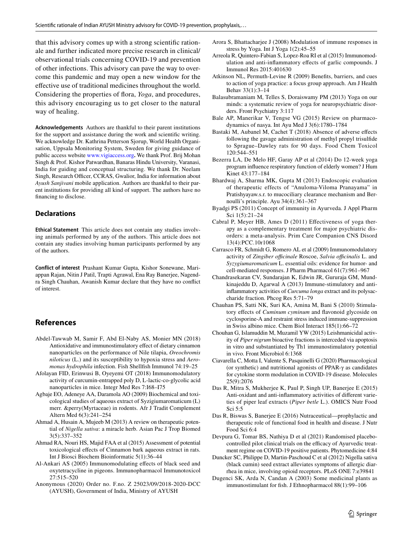that this advisory comes up with a strong scientific rationale and further indicated more precise research in clinical/ observational trials concerning COVID-19 and prevention of other infections. This advisory can pave the way to overcome this pandemic and may open a new window for the effective use of traditional medicines throughout the world. Considering the properties of flora, *Yoga*, and procedures, this advisory encouraging us to get closer to the natural way of healing.

**Acknowledgements** Authors are thankful to their parent institutions for the support and assistance during the work and scientific writing. We acknowledge Dr. Kathrina Petterson Sjorup, World Health Organisation, Uppsala Monitoring System, Sweden for giving guidance of public access website [www. vigia ccess. org](http://www.vigiaccess.org)**.** We thank Prof. Brij Mohan Singh & Prof. Kishor Patwardhan, Banaras Hindu University, Varanasi, India for guiding and conceptual structuring. We thank Dr. Neelam Singh, Research Officer, CCRAS, Gwalior, India for information about *Ayush Sanjivani* mobile application. Authors are thankful to their parent institutions for providing all kind of support. The authors have no financing to disclose.

#### **Declarations**

**Ethical Statement** This article does not contain any studies involving animals performed by any of the authors. This article does not contain any studies involving human participants performed by any of the authors.

**Conflict of interest** Prashant Kumar Gupta, Kishor Sonewane, Mariappan Rajan, Nitin J Patil, Trapti Agrawal, Ena Ray Banerjee, Nagendra Singh Chauhan, Awanish Kumar declare that they have no conflict of interest.

# **References**

- <span id="page-22-8"></span>Abdel-Tawwab M, Samir F, Abd El-Naby AS, Monier MN (2018) Antioxidative and immunostimulatory effect of dietary cinnamon nanoparticles on the performance of Nile tilapia, *Oreochromis niloticus* (L.) and its susceptibility to hypoxia stress and *Aeromonas hydrophila* infection. Fish Shellfish Immunol 74:19–25
- <span id="page-22-6"></span>Afolayan FID, Erinwusi B, Oyeyemi OT (2018) Immunomodulatory activity of curcumin-entrapped poly D, L-lactic-co-glycolic acid nanoparticles in mice. Integr Med Res 7:I68–I75
- <span id="page-22-22"></span>Agbaje EO, Adeneye AA, Daramola AO (2009) Biochemical and toxicological studies of aqueous extract of Syzigiumaromaticum (L) merr. &perry(Myrtaceae) in rodents. Afr J Tradit Complement Altern Med 6(3):241–254
- <span id="page-22-4"></span>Ahmad A, Husain A, Mujeeb M (2013) A review on therapeutic potential of *Nigella sativa*: a miracle herb. Asian Pac J Trop Biomed 3(5):337–352
- <span id="page-22-24"></span>Ahmad RA, Nouri HS, Majid FAA et al (2015) Assessment of potential toxicological effects of Cinnamon bark aqueous extract in rats. Int J Biosci Biochem Bioinformatic 5(1):36–44
- <span id="page-22-5"></span>Al-Ankari AS (2005) Immunomodulating effects of black seed and oxytetracycline in pigeons. Immunopharmacol Immunotoxicol 27:515–520
- <span id="page-22-25"></span>Anonymous (2020) Order no. F.no. Z 25023/09/2018-2020-DCC (AYUSH), Government of India, Ministry of AYUSH
- <span id="page-22-14"></span>Arora S, Bhattacharjee J (2008) Modulation of immune responses in stress by Yoga. Int J Yoga 1(2):45–55
- <span id="page-22-12"></span>Arreola R, Quintero-Fabian S, Lopez-Roa RI et al (2015) Immunomodulation and anti-inflammatory effects of garlic compounds. J Immunol Res 2015:401630
- <span id="page-22-0"></span>Atkinson NL, Permuth-Levine R (2009) Benefits, barriers, and cues to action of yoga practice: a focus group approach. Am J Health Behav 33(1):3–14
- <span id="page-22-26"></span>Balasubramaniam M, Telles S, Doraiswamy PM (2013) Yoga on our minds: a systematic review of yoga for neuropsychiatric disorders. Front Psychiatry 3:117
- <span id="page-22-13"></span>Bale AP, Manerikar V, Tengse VG (2015) Review on pharmacodynamics of nasya. Int Ayu Med J 3(6):1780–1784
- <span id="page-22-23"></span>Bastaki M, Aubanel M, Cachet T (2018) Absence of adverse effects following the gavage administration of methyl propyl trisulfide to Sprague–Dawley rats for 90 days. Food Chem Toxicol 120:544–551
- <span id="page-22-16"></span>Bezerra LA, De Melo HF, Garay AP et al (2014) Do 12-week yoga program influence respiratory function of elderly women? J Hum Kinet 43:177–184
- <span id="page-22-15"></span>Bhardwaj A, Sharma MK, Gupta M (2013) Endoscopic evaluation of therapeutic effects of "Anuloma-Viloma Pranayama" in Pratishyayaw.s.r. to mucociliary clearance mechanism and Bernoulli's principle. Ayu 34(4):361–367
- <span id="page-22-18"></span>Byadgi PS (2011) Concept of immunity in Ayurveda. J Appl Pharm Sci 1(5):21–24
- <span id="page-22-1"></span>Cabral P, Meyer HB, Ames D (2011) Effectiveness of yoga therapy as a complementary treatment for major psychiatric disorders: a meta-analysis. Prim Care Companion CNS Disord 13(4):PCC.10r1068
- <span id="page-22-11"></span>Carrasco FR, Schmidt G, Romero AL et al (2009) Immunomodulatory activity of *Zingiber officinale* Roscoe, *Salvia officinalis* L. and *Syzygiumaromaticum* L. essential oils: evidence for humor- and cell-mediated responses. J Pharm Pharmacol 61(7):961–967
- <span id="page-22-7"></span>Chandrasekaran CV, Sundarajan K, Edwin JR, Gururaja GM, Mundkinajeddu D, Agarwal A (2013) Immune-stimulatory and antiinflammatory activities of *Curcuma longa* extract and its polysaccharide fraction. Phcog Res 5:71–79
- <span id="page-22-2"></span>Chauhan PS, Satti NK, Suri KA, Amina M, Bani S (2010) Stimulatory effects of *Cuminum cyminum* and flavonoid glycoside on cyclosporine-A and restraint stress induced immune-suppression in Swiss albino mice. Chem Biol Interact 185(1):66–72
- <span id="page-22-9"></span>Chouhan G, Islamuddin M, Muzamil YW (2015) Leishmanicidal activity of *Piper nigrum* bioactive fractions is interceded via apoptosis in vitro and substantiated by Th1 immunostimulatory potential in vivo. Front Microbiol 6:1368
- <span id="page-22-21"></span>Ciavarella C, Motta I, Valente S, Pasquinelli G (2020) Pharmacological (or synthetic) and nutritional agonists of PPAR-γ as candidates for cytokine storm modulation in COVID-19 disease. Molecules 25(9):2076
- <span id="page-22-20"></span>Das R, Mitra S, Mukherjee K, Paul P, Singh UP, Banerjee E (2015) Anti-oxidant and anti-inflammatory activities of different varieties of piper leaf extracts (*Piper betle* L.). OMICS Nutr Food Sci 5:5
- <span id="page-22-19"></span>Das R, Biswas S, Banerjee E (2016) Nutraceutical—prophylactic and therapeutic role of functional food in health and disease. J Nutr Food Sci 6:4
- <span id="page-22-17"></span>Devpura G, Tomar BS, Nathiya D et al (2021) Randomised placebocontrolled pilot clinical trials on the efficacy of Ayurvedic treatment regime on COVID-19 positive patients. Phytomedicine 4:84
- <span id="page-22-3"></span>Duncker SC, Philippe D, Martin-Paschoud C et al (2012) Nigella sativa (black cumin) seed extract alleviates symptoms of allergic diarrhea in mice, involving opioid receptors. PLoS ONE 7:e39841
- <span id="page-22-10"></span>Dugenci SK, Arda N, Candan A (2003) Some medicinal plants as immunostimulant for fish. J Ethnopharmacol 88(1):99–106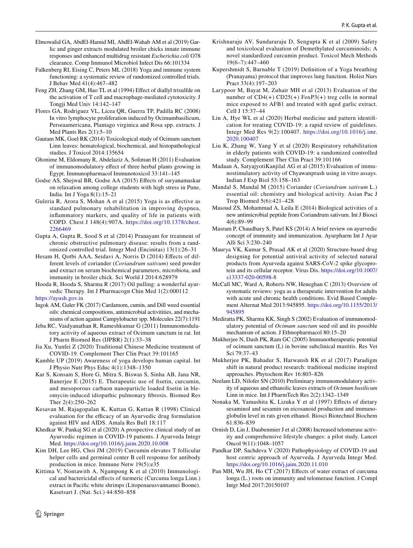- <span id="page-23-4"></span>Elmowalid GA, AbdEl-Hamid MI, AbdEl-Wahab AM et al (2019) Garlic and ginger extracts modulated broiler chicks innate immune responses and enhanced multidrug resistant *Escherichia coli* O78 clearance. Comp Immunol Microbiol Infect Dis 66:101334
- <span id="page-23-37"></span>Falkenberg RI, Eising C, Peters ML (2018) Yoga and immune system functioning: a systematic review of randomized controlled trials. J Behav Med 41(4):467–482
- <span id="page-23-3"></span>Feng ZH, Zhang GM, Hao TL et al (1994) Effect of diallyl trisulfde on the activation of T cell and macrophage-mediated cytotoxicity. J Tongji Med Univ 14:142–147
- <span id="page-23-11"></span>Flores GA, Rodriguez VL, Licea QR, Guerra TP, Padilla RC (2008) In vitro lymphocyte proliferation induced by Ocimumbasilicum, Perseaamericana, Plantago virginica and Rosa spp. extracts. J Med Plants Res 2(1):5–10
- <span id="page-23-34"></span>Gautam MK, Goel RK (2014) Toxicological study of Ocimum sanctum Linn leaves: hematological, biochemical, and histopathological studies. J Toxicol 2014:135654
- <span id="page-23-5"></span>Ghonime M, Eldomany R, Abdelaziz A, Soliman H (2011) Evaluation of immunomodulatory effect of three herbal plants growing in Egypt. Immunopharmacol Immunotoxicol 33:141–145
- <span id="page-23-26"></span>Godse AS, Shejwal BR, Godse AA (2015) Effects of suryanamaskar on relaxation among college students with high stress in Pune, India. Int J Yoga 8(1):15–21
- <span id="page-23-30"></span>Guleria R, Arora S, Mohan A et al (2015) Yoga is as effective as standard pulmonary rehabilitation in improving dyspnea, inflammatory markers, and quality of life in patients with COPD. Chest J 148(4):907A. https://doi.org/10.1378/chest. 2266469
- <span id="page-23-28"></span>Gupta A, Gupta R, Sood S et al (2014) Pranayam for treatment of chronic obstructive pulmonary disease: results from a randomized controlled trial. Integr Med (Encinitas) 13(1):26–31
- <span id="page-23-6"></span>Hesam H, Qotbi AAA, Seidavi A, Norris D (2014) Effects of different levels of coriander (*Coriandrum sativum*) seed powder and extract on serum biochemical parameters, microbiota, and immunity in broiler chick. Sci World J 2014:628979

<span id="page-23-23"></span>Hooda R, Hooda S, Sharma R (2017) Oil pulling: a wonderful ayurvedic Therapy. Int J Pharmacogn Chin Med 1(2):000112 https://ayush.gov.in

- <span id="page-23-18"></span>Ingok AM, Guler FK (2017) Cardamom, cumin, and Dill weed essential oils: chemical compositions, antimicrobial activitities, and mechanisms of action against Campylobacter spp. Molecules 22(7):1191
- <span id="page-23-9"></span>Jeba RC, Vaidyanathan R, Rameshkumar G (2011) Immunomodulatory activity of aqueous extract of Ocimum sanctum in rat. Int J Pharm Biomed Res (IJPBR) 2(1):33–38
- <span id="page-23-1"></span>Jia Xu, Yunfei Z (2020) Traditional Chinese Medicine treatment of COVID-19. Complement Ther Clin Pract 39:101165
- <span id="page-23-24"></span>Kamble UP (2019) Awareness of yoga develops human capital. Int J Physio Nutr Phys Educ 4(1):1348–1350
- <span id="page-23-33"></span>Kar S, Konsam S, Hore G, Mitra S, Biswas S, Sinha AB, Jana NR, Banerjee E (2015) E. Therapeutic use of fisetin, curcumin, and mesoporous carbaon nanoparticle loaded fisetin in bleomycin-induced idiopathic pulmonary fibrosis. Biomed Res Ther 2(4):250–262
- <span id="page-23-16"></span>Kesavan M, Rajagopalan K, Kuttan G, Kuttan R (1998) Clinical evaluation for the efficacy of an Ayurvedic drug formulation against HIV and AIDS. Amala Res Bull 18:117
- <span id="page-23-21"></span>Khedkar W, Pankaj SG et al (2020) A prospective clinical study of an Ayurvedic regimen in COVID-19 patients. J Ayurveda Integr Med. https://doi.org/10.1016/j.jaim.2020.10.008
- <span id="page-23-12"></span>Kim DH, Lee HG, Choi JM (2019) Curcumin elevates T follicular helper cells and germinal center B cell response for antibody production in mice. Immune Netw 19(5):e35
- <span id="page-23-14"></span>Kittima V, Nontawith A, Ngampong K et al (2010) Immunological and bactericidal effects of turmeric (Curcuma longa Linn.) extract in Pacific white shrimps (Litopenaeusvannamei Boone). Kasetsart J. (Nat. Sci.) 44:850–858
- <span id="page-23-35"></span>Krishnaraju AV, Sundararaju D, Sengupta K et al (2009) Safety and toxicolocal evaluation of Demethylated curcuminoids; A novel standardized curcumin product. Toxicol Mech Methods  $19(6 - 7) \cdot 447 - 460$
- <span id="page-23-27"></span>Kupershmidt S, Barnable T (2019) Definition of a Yoga breathing (Pranayama) protocol that improves lung function. Holist Nurs Pract 33(4):197–203
- <span id="page-23-2"></span>Larypoor M, Bayat M, Zuhair MH et al (2013) Evaluation of the number of CD4(+) CD25(+) FoxP3(+) treg cells in normal mice exposed to AFB1 and treated with aged garlic extract. Cell J 15:37–44
- <span id="page-23-36"></span>Lin A, Hye WL et al (2020) Herbal medicine and pattern identification for treating COVID-19: a rapid review of guidelines. Integr Med Res 9(2):100407. [https:// doi. org/ 10. 1016/j. imr.](https://doi.org/10.1016/j.imr.2020.100407) [2020. 100407](https://doi.org/10.1016/j.imr.2020.100407)
- <span id="page-23-29"></span>Liu K, Zhang W, Yang Y et al (2020) Respiratory rehabilitation in elderly patients with COVID-19: a randomized controlled study. Complement Ther Clin Pract 39:101166
- <span id="page-23-17"></span>Madaan A, SatyajyotiKanjilal AG et al (2015) Evaluation of immunostimulatory activity of Chyawanprash using in vitro assays. Indian J Exp Biol 53:158–163
- <span id="page-23-19"></span>Mandal S, Mandal M (2015) Coriander (*Coriandrum sativum* L.) essential oil: chemistry and biological activity. Asian Pac J Trop Biomed 5(6):421–428
- <span id="page-23-20"></span>Masoud ZS, Mohammad A, Leila E (2014) Biological activities of a new antimicrobial peptide from Coriandrum sativum. Int J Biosci 4(6):89–99
- <span id="page-23-32"></span>Masram P, Chaudhary S, Patel KS (2014) A brief review on ayurvedic concept of immunity and immunization. Ayurpharm Int J Ayur Alli Sci 3:230–240
- <span id="page-23-15"></span>Maurya VK, Kumar S, Prasad AK et al (2020) Structure-based drug designing for potential antiviral activity of selected natural products from Ayurveda against SARS-CoV-2 spike glycoprotein and its cellular receptor. Virus Dis. https://doi.org/10.1007/ s13337-020-00598-8
- <span id="page-23-38"></span>McCall MC, Ward A, Roberts NW, Heneghan C (2013) Overview of systematic reviews: yoga as a therapeutic intervention for adults with acute and chronic health conditions. Evid Based Complement Alternat Med 2013:945895. https://doi.org/10.1155/2013/ [945895](https://doi.org/10.1155/2013/945895)
- <span id="page-23-7"></span>Mediratta PK, Sharma KK, Singh S (2002) Evaluation of immunomodulatory potential of *Ocimum sanctum* seed oil and its possible mechanism of action. J Ethnopharmacol 80:15–20
- <span id="page-23-8"></span>Mukherjee N, Dash PK, Ram GC (2005) Immunotherapeutic potential of ocimum sanctum (L) in bovine subclinical mastitis. Res Vet Sci 79:37–43
- <span id="page-23-0"></span>Mukherjee PK, Bahadur S, Harwansh RK et al (2017) Paradigm shift in natural product research: traditional medicine inspired approaches. Phytochem Rev 16:803–826
- <span id="page-23-10"></span>Neelam LD, Nilofer SN (2010) Preliminary immunomodulatory activity of aqueous and ethanolic leaves extracts of *Ocimum basilicum* Linn in mice. Int J PharmTech Res 2(2):1342–1349
- <span id="page-23-22"></span>Nonaka M, Yamashita K, Lizuka Y et al (1997) Effects of dietary sesaminol and sesamin on eicosanoid production and immunoglobulin level in rats given ethanol. Biosci Biotechnol Biochem 61:836–839
- <span id="page-23-25"></span>Ornish D, Lin J, Daubenmier J et al (2008) Increased telomerase activity and comprehensive lifestyle changes: a pilot study. Lancet Oncol 9(11):1048–1057
- <span id="page-23-31"></span>Pandkar DP, Sachdeva V (2020) Pathophysiology of COVID-19 and host centric approach of Ayurveda. J Ayurveda Integr Med. https://doi.org/10.1016/j.jaim.2020.11.010
- <span id="page-23-13"></span>Pan MH, Wu JH, Ho CT (2017) Effects of water extract of curcuma longa (L.) roots on immunity and telomerase function. J Compl Intgr Med 2017:20150107